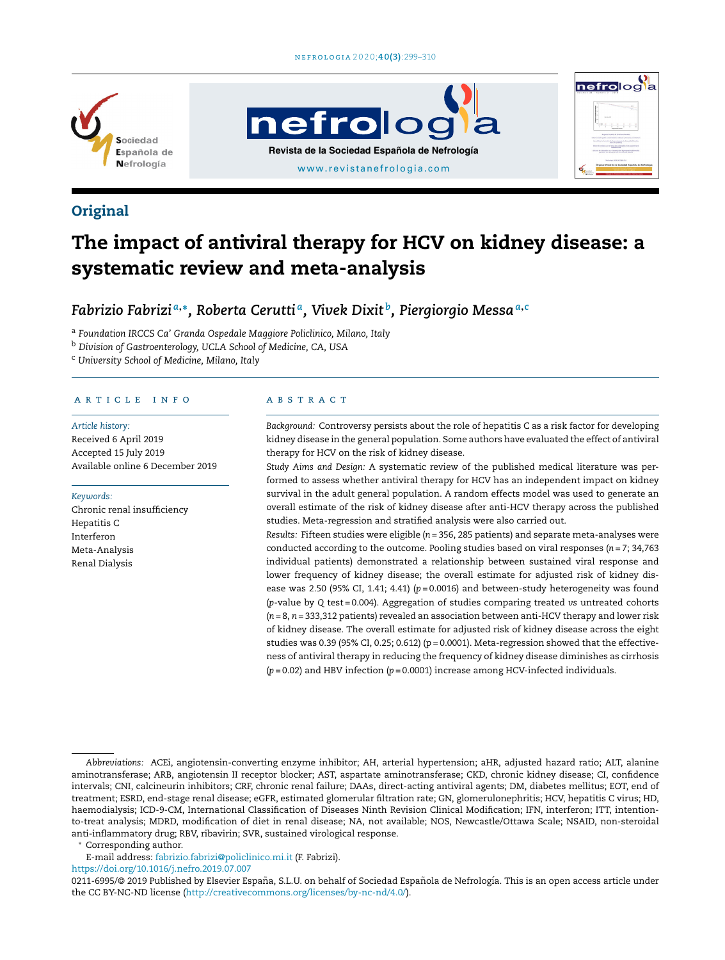





## **Original**

# The impact of antiviral therapy for HCV on kidney disease: a systematic review and meta-analysis

## *Fabrizio Fabrizi <sup>a</sup>*,<sup>∗</sup> *, Roberta Cerutti <sup>a</sup> , Vivek Dixit <sup>b</sup> , Piergiorgio Messa<sup>a</sup>*,*<sup>c</sup>*

<sup>a</sup> *Foundation IRCCS Ca' Granda Ospedale Maggiore Policlinico, Milano, Italy*

<sup>b</sup> *Division of Gastroenterology, UCLA School of Medicine, CA, USA*

<sup>c</sup> *University School of Medicine, Milano, Italy*

#### ARTICLE INFO

#### *Article history:*

Received 6 April 2019 Accepted 15 July 2019 Available online 6 December 2019

#### *Keywords:*

Chronic renal insufficiency Hepatitis C Interferon Meta-Analysis Renal Dialysis

#### A B S T R A C T

*Background:* Controversy persists about the role of hepatitis C as a risk factor for developing kidney disease in the general population. Some authors have evaluated the effect of antiviral therapy for HCV on the risk of kidney disease.

*Study Aims and Design:* A systematic review of the published medical literature was performed to assess whether antiviral therapy for HCV has an independent impact on kidney survival in the adult general population. A random effects model was used to generate an overall estimate of the risk of kidney disease after anti-HCV therapy across the published studies. Meta-regression and stratified analysis were also carried out.

*Results:* Fifteen studies were eligible (*n* = 356, 285 patients) and separate meta-analyses were conducted according to the outcome. Pooling studies based on viral responses (*n* = 7; 34,763 individual patients) demonstrated a relationship between sustained viral response and lower frequency of kidney disease; the overall estimate for adjusted risk of kidney disease was 2.50 (95% CI, 1.41; 4.41) ( $p = 0.0016$ ) and between-study heterogeneity was found (*p*-value by *Q* test = 0.004). Aggregation of studies comparing treated *vs* untreated cohorts (*n* = 8, *n* = 333,312 patients) revealed an association between anti-HCV therapy and lower risk of kidney disease. The overall estimate for adjusted risk of kidney disease across the eight studies was 0.39 (95% CI, 0.25; 0.612) ( $p = 0.0001$ ). Meta-regression showed that the effectiveness of antiviral therapy in reducing the frequency of kidney disease diminishes as cirrhosis (*p =* 0.02) and HBV infection (*p =* 0.0001) increase among HCV-infected individuals.

<sup>∗</sup> Corresponding author.

E-mail address: [fabrizio.fabrizi@policlinico.mi.it](mailto:fabrizio.fabrizi@policlinico.mi.it) (F. Fabrizi).

<https://doi.org/10.1016/j.nefro.2019.07.007>

*Abbreviations:* ACEi, angiotensin-converting enzyme inhibitor; AH, arterial hypertension; aHR, adjusted hazard ratio; ALT, alanine aminotransferase; ARB, angiotensin II receptor blocker; AST, aspartate aminotransferase; CKD, chronic kidney disease; CI, confidence intervals; CNI, calcineurin inhibitors; CRF, chronic renal failure; DAAs, direct-acting antiviral agents; DM, diabetes mellitus; EOT, end of treatment; ESRD, end-stage renal disease; eGFR, estimated glomerular filtration rate; GN, glomerulonephritis; HCV, hepatitis C virus; HD, haemodialysis; ICD-9-CM, International Classification of Diseases Ninth Revision Clinical Modification; IFN, interferon; ITT, intentionto-treat analysis; MDRD, modification of diet in renal disease; NA, not available; NOS, Newcastle/Ottawa Scale; NSAID, non-steroidal anti-inflammatory drug; RBV, ribavirin; SVR, sustained virological response.

<sup>0211-6995/© 2019</sup> Published by Elsevier España, S.L.U. on behalf of Sociedad Española de Nefrología. This is an open access article under the CC BY-NC-ND license [\(http://creativecommons.org/licenses/by-nc-nd/4.0/](http://creativecommons.org/licenses/by-nc-nd/4.0/)).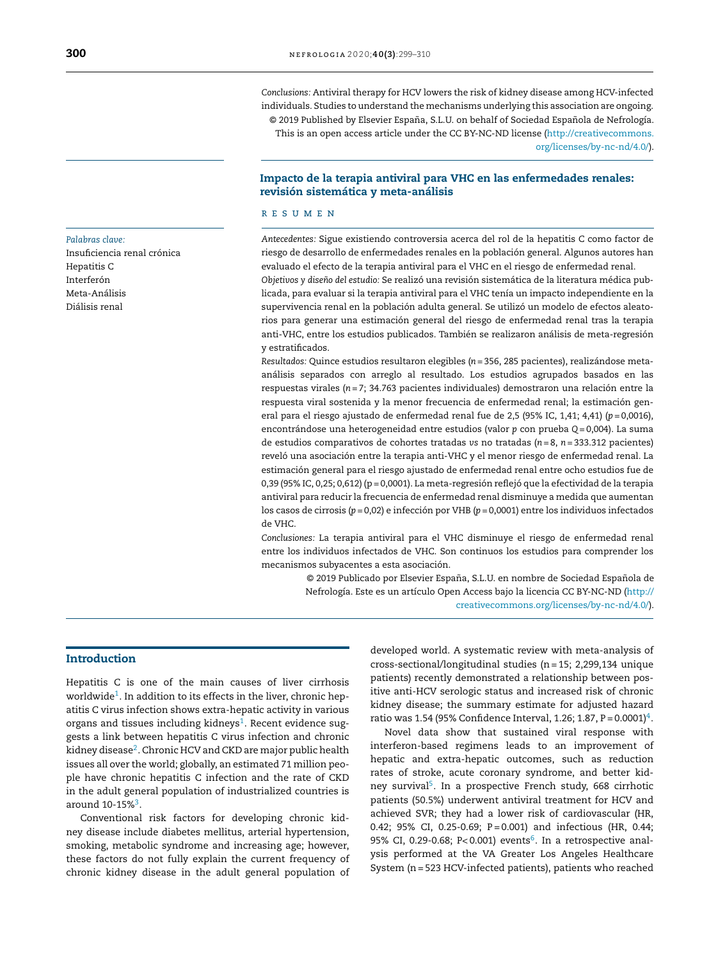*Conclusions:* Antiviral therapy for HCV lowers the risk of kidney disease among HCV-infected individuals. Studies to understand the mechanisms underlying this association are ongoing. © 2019 Published by Elsevier España, S.L.U. on behalf of Sociedad Española de Nefrología. This is an open access article under the CC BY-NC-ND license [\(http://creativecommons.](http://creativecommons.org/licenses/by-nc-nd/4.0/)

[org/licenses/by-nc-nd/4.0/\)](http://creativecommons.org/licenses/by-nc-nd/4.0/).

## Impacto de la terapia antiviral para VHC en las enfermedades renales: revisión sistemática y meta-análisis

#### r e s u m e n

*Antecedentes:* Sigue existiendo controversia acerca del rol de la hepatitis C como factor de riesgo de desarrollo de enfermedades renales en la población general. Algunos autores han evaluado el efecto de la terapia antiviral para el VHC en el riesgo de enfermedad renal.

*Objetivos y diseno˜ del estudio:* Se realizó una revisión sistemática de la literatura médica publicada, para evaluar si la terapia antiviral para el VHC tenía un impacto independiente en la supervivencia renal en la población adulta general. Se utilizó un modelo de efectos aleatorios para generar una estimación general del riesgo de enfermedad renal tras la terapia anti-VHC, entre los estudios publicados. También se realizaron análisis de meta-regresión y estratificados.

*Resultados:* Quince estudios resultaron elegibles (*n* = 356, 285 pacientes), realizándose metaanálisis separados con arreglo al resultado. Los estudios agrupados basados en las respuestas virales (*n* = 7; 34.763 pacientes individuales) demostraron una relación entre la respuesta viral sostenida y la menor frecuencia de enfermedad renal; la estimación general para el riesgo ajustado de enfermedad renal fue de 2,5 (95% IC, 1,41; 4,41) (*p* = 0,0016), encontrándose una heterogeneidad entre estudios (valor *p* con prueba *Q* = 0,004). La suma de estudios comparativos de cohortes tratadas *vs* no tratadas (*n* = 8, *n* = 333.312 pacientes) reveló una asociación entre la terapia anti-VHC y el menor riesgo de enfermedad renal. La estimación general para el riesgo ajustado de enfermedad renal entre ocho estudios fue de 0,39 (95% IC, 0,25; 0,612) (p = 0,0001). La meta-regresión reflejó que la efectividad de la terapia antiviral para reducir la frecuencia de enfermedad renal disminuye a medida que aumentan los casos de cirrosis (*p =* 0,02) e infección por VHB (*p =* 0,0001) entre los individuos infectados de VHC.

*Conclusiones:* La terapia antiviral para el VHC disminuye el riesgo de enfermedad renal entre los individuos infectados de VHC. Son continuos los estudios para comprender los mecanismos subyacentes a esta asociación.

> © 2019 Publicado por Elsevier España, S.L.U. en nombre de Sociedad Española de Nefrología. Este es un artículo Open Access bajo la licencia CC BY-NC-ND ([http://](http://creativecommons.org/licenses/by-nc-nd/4.0/) [creativecommons.org/licenses/by-nc-nd/4.0/\)](http://creativecommons.org/licenses/by-nc-nd/4.0/).

## Introduction

Hepatitis C is one of the main causes of liver cirrhosis worldwide<sup>[1](#page-10-0)</sup>. In addition to its effects in the liver, chronic hepatitis C virus infection shows extra-hepatic activity in various organs and tissues including kidneys<sup>[1](#page-10-0)</sup>. Recent evidence suggests a link between hepatitis C virus infection and chronic kidney disease<sup>[2](#page-10-0)</sup>. Chronic HCV and CKD are major public health issues all over the world; globally, an estimated 71 million people have chronic hepatitis C infection and the rate of CKD in the adult general population of industrialized countries is around 10-15%<sup>[3](#page-10-0)</sup>.

Conventional risk factors for developing chronic kidney disease include diabetes mellitus, arterial hypertension, smoking, metabolic syndrome and increasing age; however, these factors do not fully explain the current frequency of chronic kidney disease in the adult general population of developed world. A systematic review with meta-analysis of cross-sectional/longitudinal studies (n= 15; 2,299,134 unique patients) recently demonstrated a relationship between positive anti-HCV serologic status and increased risk of chronic kidney disease; the summary estimate for adjusted hazard ratio was 1.5[4](#page-10-0) (95% Confidence Interval, 1.26; 1.87, P = 0.0001) $^4$ .

Novel data show that sustained viral response with interferon-based regimens leads to an improvement of hepatic and extra-hepatic outcomes, such as reduction rates of stroke, acute coronary syndrome, and better kid-ney survival<sup>[5](#page-10-0)</sup>. In a prospective French study, 668 cirrhotic patients (50.5%) underwent antiviral treatment for HCV and achieved SVR; they had a lower risk of cardiovascular (HR, 0.42; 95% CI, 0.25-0.69; P = 0.001) and infectious (HR, 0.44; 95% CI, 0.29-0.[6](#page-10-0)8; P<0.001) events<sup>6</sup>. In a retrospective analysis performed at the VA Greater Los Angeles Healthcare System (n= 523 HCV-infected patients), patients who reached

## *Palabras clave:* Insuficiencia renal crónica Hepatitis C Interferón Meta-Análisis Diálisis renal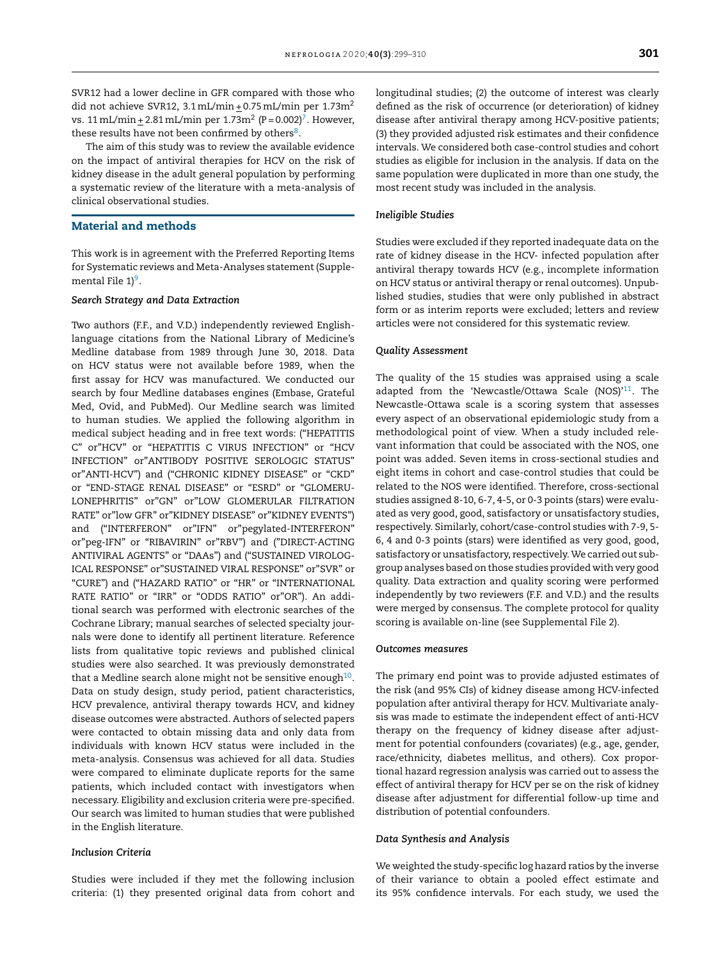SVR12 had a lower decline in GFR compared with those who did not achieve SVR12,  $3.1 \text{ mL/min} + 0.75 \text{ mL/min}$  per  $1.73 \text{m}^2$ vs. 11 mL/min <u>+</u> 2.81 mL/min per 1.[7](#page-10-0)3m<sup>2</sup> (P = 0.002)<sup>7</sup>. However, these results have not been confirmed by others<sup>[8](#page-10-0)</sup>.

The aim of this study was to review the available evidence on the impact of antiviral therapies for HCV on the risk of kidney disease in the adult general population by performing a systematic review of the literature with a meta-analysis of clinical observational studies.

## Material and methods

This work is in agreement with the Preferred Reporting Items for Systematic reviews and Meta-Analyses statement (Supple-mental File 1)<sup>[9](#page-10-0)</sup>.

#### *Search Strategy and Data Extraction*

Two authors (F.F., and V.D.) independently reviewed Englishlanguage citations from the National Library of Medicine's Medline database from 1989 through June 30, 2018. Data on HCV status were not available before 1989, when the first assay for HCV was manufactured. We conducted our search by four Medline databases engines (Embase, Grateful Med, Ovid, and PubMed). Our Medline search was limited to human studies. We applied the following algorithm in medical subject heading and in free text words: ("HEPATITIS C" or"HCV" or "HEPATITIS C VIRUS INFECTION" or "HCV INFECTION" or"ANTIBODY POSITIVE SEROLOGIC STATUS" or"ANTI-HCV") and ("CHRONIC KIDNEY DISEASE" or "CKD" or "END-STAGE RENAL DISEASE" or "ESRD" or "GLOMERU-LONEPHRITIS" or"GN" or"LOW GLOMERULAR FILTRATION RATE" or"low GFR" or"KIDNEY DISEASE" or"KIDNEY EVENTS") and ("INTERFERON" or"IFN" or"pegylated-INTERFERON" or"peg-IFN" or "RIBAVIRIN" or"RBV") and ("DIRECT-ACTING ANTIVIRAL AGENTS" or "DAAs") and ("SUSTAINED VIROLOG-ICAL RESPONSE" or"SUSTAINED VIRAL RESPONSE" or"SVR" or "CURE") and ("HAZARD RATIO" or "HR" or "INTERNATIONAL RATE RATIO" or "IRR" or "ODDS RATIO" or"OR"). An additional search was performed with electronic searches of the Cochrane Library; manual searches of selected specialty journals were done to identify all pertinent literature. Reference lists from qualitative topic reviews and published clinical studies were also searched. It was previously demonstrated that a Medline search alone might not be sensitive enough $^{10}\cdot$  $^{10}\cdot$  $^{10}\cdot$ Data on study design, study period, patient characteristics, HCV prevalence, antiviral therapy towards HCV, and kidney disease outcomes were abstracted. Authors of selected papers were contacted to obtain missing data and only data from individuals with known HCV status were included in the meta-analysis. Consensus was achieved for all data. Studies were compared to eliminate duplicate reports for the same patients, which included contact with investigators when necessary. Eligibility and exclusion criteria were pre-specified. Our search was limited to human studies that were published in the English literature.

### *Inclusion Criteria*

Studies were included if they met the following inclusion criteria: (1) they presented original data from cohort and longitudinal studies; (2) the outcome of interest was clearly defined as the risk of occurrence (or deterioration) of kidney disease after antiviral therapy among HCV-positive patients; (3) they provided adjusted risk estimates and their confidence intervals. We considered both case-control studies and cohort studies as eligible for inclusion in the analysis. If data on the same population were duplicated in more than one study, the most recent study was included in the analysis.

#### *Ineligible Studies*

Studies were excluded if they reported inadequate data on the rate of kidney disease in the HCV- infected population after antiviral therapy towards HCV (e.g., incomplete information on HCV status or antiviral therapy or renal outcomes). Unpublished studies, studies that were only published in abstract form or as interim reports were excluded; letters and review articles were not considered for this systematic review.

#### *Quality Assessment*

The quality of the 15 studies was appraised using a scale adapted from the 'Newcastle/Ottawa Scale (NOS)'<sup>[11](#page-10-0)</sup>. The Newcastle-Ottawa scale is a scoring system that assesses every aspect of an observational epidemiologic study from a methodological point of view. When a study included relevant information that could be associated with the NOS, one point was added. Seven items in cross-sectional studies and eight items in cohort and case-control studies that could be related to the NOS were identified. Therefore, cross-sectional studies assigned 8-10, 6-7, 4-5, or 0-3 points (stars) were evaluated as very good, good, satisfactory or unsatisfactory studies, respectively. Similarly, cohort/case-control studies with 7-9, 5- 6, 4 and 0-3 points (stars) were identified as very good, good, satisfactory or unsatisfactory, respectively.We carried out subgroup analyses based on those studies provided with very good quality. Data extraction and quality scoring were performed independently by two reviewers (F.F. and V.D.) and the results were merged by consensus. The complete protocol for quality scoring is available on-line (see Supplemental File 2).

#### *Outcomes measures*

The primary end point was to provide adjusted estimates of the risk (and 95% CIs) of kidney disease among HCV-infected population after antiviral therapy for HCV. Multivariate analysis was made to estimate the independent effect of anti-HCV therapy on the frequency of kidney disease after adjustment for potential confounders (covariates) (e.g., age, gender, race/ethnicity, diabetes mellitus, and others). Cox proportional hazard regression analysis was carried out to assess the effect of antiviral therapy for HCV per se on the risk of kidney disease after adjustment for differential follow-up time and distribution of potential confounders.

#### *Data Synthesis and Analysis*

We weighted the study-specific log hazard ratios by the inverse of their variance to obtain a pooled effect estimate and its 95% confidence intervals. For each study, we used the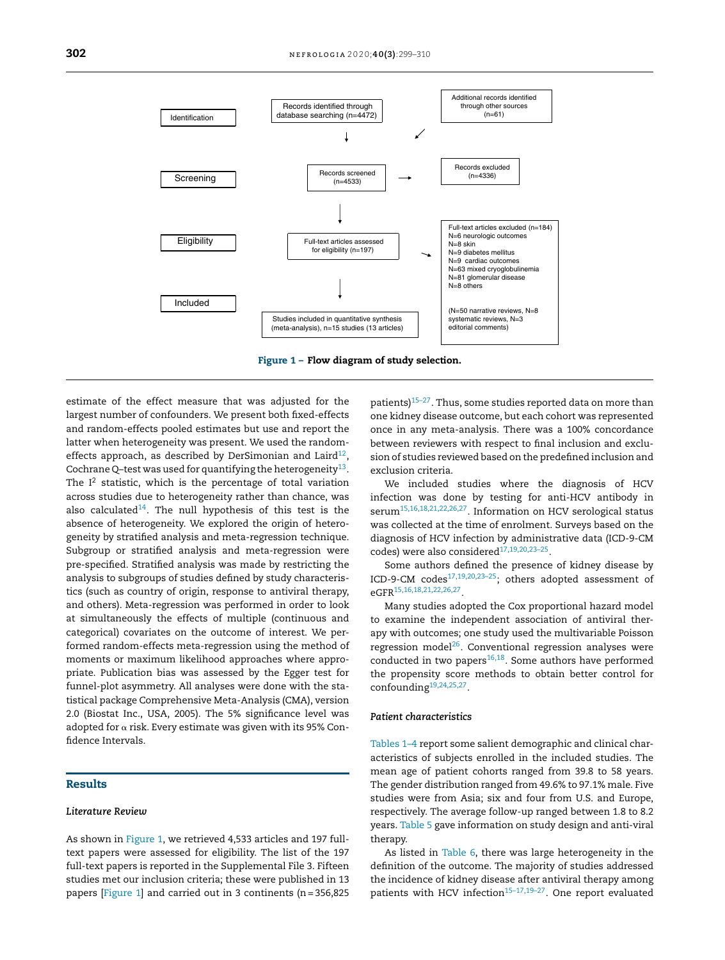

estimate of the effect measure that was adjusted for the largest number of confounders. We present both fixed-effects and random-effects pooled estimates but use and report the latter when heterogeneity was present. We used the random-effects approach, as described by DerSimonian and Laird<sup>[12](#page-10-0)</sup> , Cochrane Q–test was used for quantifying the heterogeneity $^{13}.$  $^{13}.$  $^{13}.$ The  $I^2$  statistic, which is the percentage of total variation across studies due to heterogeneity rather than chance, was also calculated $^{14}$  $^{14}$  $^{14}$ . The null hypothesis of this test is the absence of heterogeneity. We explored the origin of heterogeneity by stratified analysis and meta-regression technique. Subgroup or stratified analysis and meta-regression were pre-specified. Stratified analysis was made by restricting the analysis to subgroups of studies defined by study characteristics (such as country of origin, response to antiviral therapy, and others). Meta-regression was performed in order to look at simultaneously the effects of multiple (continuous and categorical) covariates on the outcome of interest. We performed random-effects meta-regression using the method of moments or maximum likelihood approaches where appropriate. Publication bias was assessed by the Egger test for funnel-plot asymmetry. All analyses were done with the statistical package Comprehensive Meta-Analysis (CMA), version 2.0 (Biostat Inc., USA, 2005). The 5% significance level was adopted for  $\alpha$  risk. Every estimate was given with its 95% Confidence Intervals.

#### Results

#### *Literature Review*

As shown in Figure 1, we retrieved 4,533 articles and 197 fulltext papers were assessed for eligibility. The list of the 197 full-text papers is reported in the Supplemental File 3. Fifteen studies met our inclusion criteria; these were published in 13 papers [Figure 1] and carried out in 3 continents (n= 356,825

patients)<sup>[15–27](#page-10-0)</sup>. Thus, some studies reported data on more than one kidney disease outcome, but each cohort was represented once in any meta-analysis. There was a 100% concordance between reviewers with respect to final inclusion and exclusion of studies reviewed based on the predefined inclusion and exclusion criteria.

We included studies where the diagnosis of HCV infection was done by testing for anti-HCV antibody in serum[15,16,18,21,22,26,27](#page-10-0) . Information on HCV serological status was collected at the time of enrolment. Surveys based on the diagnosis of HCV infection by administrative data (ICD-9-CM codes) were also considered<sup>17,19,20,23-25</sup>.

Some authors defined the presence of kidney disease by ICD-9-CM codes $17,19,20,23-25$ ; others adopted assessment of eGFR[15,16,18,21,22,26,27](#page-10-0) .

Many studies adopted the Cox proportional hazard model to examine the independent association of antiviral therapy with outcomes; one study used the multivariable Poisson regression model<sup>[26](#page-10-0)</sup>. Conventional regression analyses were conducted in two papers<sup>[16,18](#page-10-0)</sup>. Some authors have performed the propensity score methods to obtain better control for confounding<sup>[19,24,25,27](#page-10-0)</sup>.

## *Patient characteristics*

[Tables](#page-4-0) 1–4 report some salient demographic and clinical characteristics of subjects enrolled in the included studies. The mean age of patient cohorts ranged from 39.8 to 58 years. The gender distribution ranged from 49.6% to 97.1% male. Five studies were from Asia; six and four from U.S. and Europe, respectively. The average follow-up ranged between 1.8 to 8.2 years. [Table](#page-5-0) 5 gave information on study design and anti-viral therapy.

As listed in [Table](#page-6-0) 6, there was large heterogeneity in the definition of the outcome. The majority of studies addressed the incidence of kidney disease after antiviral therapy among patients with HCV infection $15-17,19-27$ . One report evaluated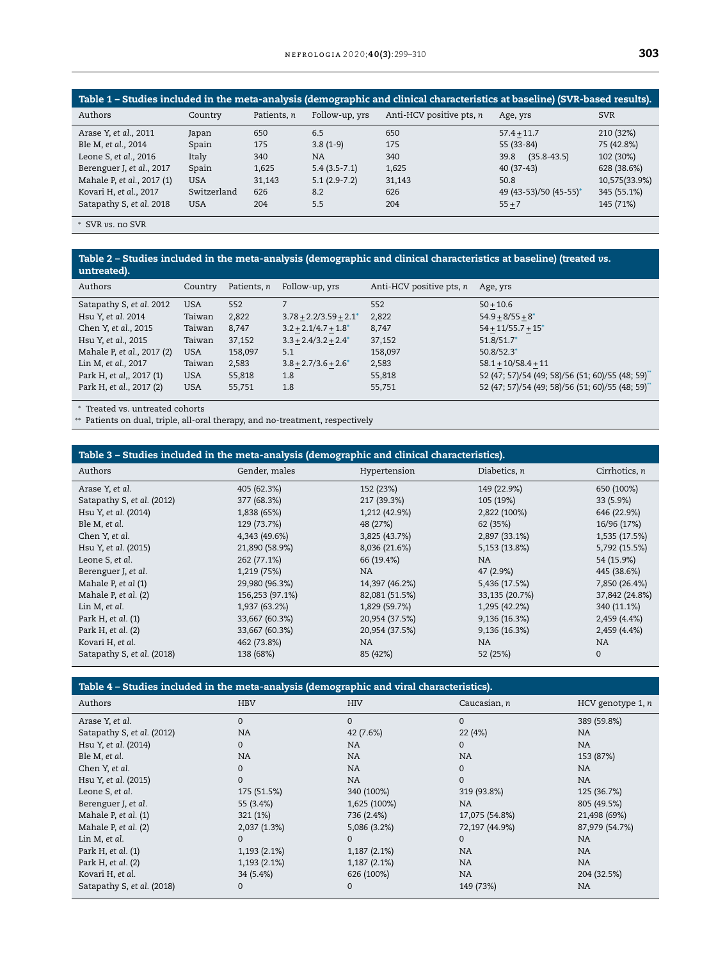<span id="page-4-0"></span>

| Table 1 – Studies included in the meta-analysis (demographic and clinical characteristics at baseline) (SVR-based results). |             |             |                |                          |                         |               |  |
|-----------------------------------------------------------------------------------------------------------------------------|-------------|-------------|----------------|--------------------------|-------------------------|---------------|--|
| Authors                                                                                                                     | Country     | Patients, n | Follow-up, yrs | Anti-HCV positive pts, n | Age, yrs                | <b>SVR</b>    |  |
| Arase Y, et al., 2011                                                                                                       | Japan       | 650         | 6.5            | 650                      | $57.4 + 11.7$           | 210 (32%)     |  |
| Ble M, et al., 2014                                                                                                         | Spain       | 175         | $3.8(1-9)$     | 175                      | 55 (33-84)              | 75 (42.8%)    |  |
| Leone S, et al., 2016                                                                                                       | Italy       | 340         | <b>NA</b>      | 340                      | $(35.8 - 43.5)$<br>39.8 | 102 (30%)     |  |
| Berenguer J, et al., 2017                                                                                                   | Spain       | 1,625       | $5.4(3.5-7.1)$ | 1,625                    | $40(37-43)$             | 628 (38.6%)   |  |
| Mahale P, et al., 2017 (1)                                                                                                  | <b>USA</b>  | 31,143      | $5.1(2.9-7.2)$ | 31,143                   | 50.8                    | 10,575(33.9%) |  |
| Kovari H, et al., 2017                                                                                                      | Switzerland | 626         | 8.2            | 626                      | 49 (43-53)/50 (45-55)*  | 345 (55.1%)   |  |
| Satapathy S, et al. 2018                                                                                                    | <b>USA</b>  | 204         | 5.5            | 204                      | $55 + 7$                | 145 (71%)     |  |

<sup>∗</sup> SVR *vs*. no SVR

## Table 2 – Studies included in the meta-analysis (demographic and clinical characteristics at baseline) (treated *vs.* untreated).

| Authors                    | Country    | Patients, n | Follow-up, yrs                     | Anti-HCV positive pts, n | Age, yrs                                        |
|----------------------------|------------|-------------|------------------------------------|--------------------------|-------------------------------------------------|
| Satapathy S, et al. 2012   | <b>USA</b> | 552         |                                    | 552                      | $50 + 10.6$                                     |
| Hsu Y, et al. 2014         | Taiwan     | 2,822       | $3.78 + 2.2/3.59 + 2.1^*$          | 2,822                    | $54.9 + 8/55 + 8^*$                             |
| Chen Y, et al., 2015       | Taiwan     | 8,747       | $3.2 + 2.1/4.7 + 1.8$ <sup>*</sup> | 8,747                    | $54 + 11/55.7 + 15^*$                           |
| Hsu Y, et al., 2015        | Taiwan     | 37,152      | $3.3 + 2.4/3.2 + 2.4^*$            | 37,152                   | $51.8/51.7*$                                    |
| Mahale P, et al., 2017 (2) | <b>USA</b> | 158,097     | 5.1                                | 158,097                  | $50.8/52.3*$                                    |
| Lin M, et al., 2017        | Taiwan     | 2,583       | $3.8 + 2.7/3.6 + 2.6^*$            | 2,583                    | $58.1 + 10/58.4 + 11$                           |
| Park H, et al,, 2017 (1)   | <b>USA</b> | 55,818      | 1.8                                | 55,818                   | 52 (47; 57)/54 (49; 58)/56 (51; 60)/55 (48; 59) |
| Park H, et al., 2017 (2)   | <b>USA</b> | 55,751      | 1.8                                | 55,751                   | 52 (47; 57)/54 (49; 58)/56 (51; 60)/55 (48; 59) |

<sup>∗</sup> Treated vs. untreated cohorts

∗∗ Patients on dual, triple, all-oral therapy, and no-treatment, respectively

| Table 3 – Studies included in the meta-analysis (demographic and clinical characteristics). |                 |                |                |                |  |  |  |
|---------------------------------------------------------------------------------------------|-----------------|----------------|----------------|----------------|--|--|--|
| Authors                                                                                     | Gender, males   | Hypertension   | Diabetics, $n$ | Cirrhotics, n  |  |  |  |
| Arase Y, et al.                                                                             | 405 (62.3%)     | 152 (23%)      | 149 (22.9%)    | 650 (100%)     |  |  |  |
| Satapathy S, et al. (2012)                                                                  | 377 (68.3%)     | 217 (39.3%)    | 105 (19%)      | 33 (5.9%)      |  |  |  |
| Hsu Y, et al. (2014)                                                                        | 1,838 (65%)     | 1,212 (42.9%)  | 2,822 (100%)   | 646 (22.9%)    |  |  |  |
| Ble M, et al.                                                                               | 129 (73.7%)     | 48 (27%)       | 62 (35%)       | 16/96 (17%)    |  |  |  |
| Chen Y, et al.                                                                              | 4,343 (49.6%)   | 3,825 (43.7%)  | 2,897 (33.1%)  | 1,535 (17.5%)  |  |  |  |
| Hsu Y, et al. (2015)                                                                        | 21,890 (58.9%)  | 8,036 (21.6%)  | 5,153 (13.8%)  | 5,792 (15.5%)  |  |  |  |
| Leone S, et al.                                                                             | 262 (77.1%)     | 66 (19.4%)     | NA.            | 54 (15.9%)     |  |  |  |
| Berenguer J, et al.                                                                         | 1,219 (75%)     | NA.            | 47 (2.9%)      | 445 (38.6%)    |  |  |  |
| Mahale P, et al (1)                                                                         | 29,980 (96.3%)  | 14,397 (46.2%) | 5,436 (17.5%)  | 7,850 (26.4%)  |  |  |  |
| Mahale P, et al. (2)                                                                        | 156,253 (97.1%) | 82,081 (51.5%) | 33,135 (20.7%) | 37,842 (24.8%) |  |  |  |
| Lin M, et al.                                                                               | 1,937 (63.2%)   | 1,829 (59.7%)  | 1,295 (42.2%)  | 340 (11.1%)    |  |  |  |
| Park H, et al. (1)                                                                          | 33,667 (60.3%)  | 20,954 (37.5%) | 9,136 (16.3%)  | 2,459 (4.4%)   |  |  |  |
| Park H, et al. (2)                                                                          | 33,667 (60.3%)  | 20,954 (37.5%) | 9,136 (16.3%)  | 2,459 (4.4%)   |  |  |  |
| Kovari H, et al.                                                                            | 462 (73.8%)     | NA.            | <b>NA</b>      | <b>NA</b>      |  |  |  |
| Satapathy S, et al. (2018)                                                                  | 138 (68%)       | 85 (42%)       | 52 (25%)       | $\Omega$       |  |  |  |

## Table 4 – Studies included in the meta-analysis (demographic and viral characteristics).

| Authors                    | <b>HBV</b>   | <b>HIV</b>   | Caucasian, n   | HCV genotype $1, n$ |
|----------------------------|--------------|--------------|----------------|---------------------|
| Arase Y, et al.            | 0            | 0            | $\mathbf{0}$   | 389 (59.8%)         |
| Satapathy S, et al. (2012) | <b>NA</b>    | 42 (7.6%)    | 22 (4%)        | NA.                 |
| Hsu Y, et al. (2014)       | 0            | <b>NA</b>    | $\mathbf{0}$   | <b>NA</b>           |
| Ble M, et al.              | <b>NA</b>    | NA           | <b>NA</b>      | 153 (87%)           |
| Chen Y, et al.             | 0            | NA           | $\mathbf{0}$   | <b>NA</b>           |
| Hsu Y, et al. (2015)       | 0            | NA           | $\mathbf{0}$   | <b>NA</b>           |
| Leone S, et al.            | 175 (51.5%)  | 340 (100%)   | 319 (93.8%)    | 125 (36.7%)         |
| Berenguer J, et al.        | 55 (3.4%)    | 1,625 (100%) | <b>NA</b>      | 805 (49.5%)         |
| Mahale P, et al. (1)       | 321 (1%)     | 736 (2.4%)   | 17,075 (54.8%) | 21,498 (69%)        |
| Mahale P, et al. (2)       | 2,037 (1.3%) | 5,086 (3.2%) | 72,197 (44.9%) | 87,979 (54.7%)      |
| Lin M, et al.              | 0            | 0            | $\mathbf{0}$   | NA.                 |
| Park H, et al. (1)         | 1,193 (2.1%) | 1,187 (2.1%) | NA             | <b>NA</b>           |
| Park H, et al. (2)         | 1,193 (2.1%) | 1,187 (2.1%) | <b>NA</b>      | <b>NA</b>           |
| Kovari H, et al.           | 34 (5.4%)    | 626 (100%)   | <b>NA</b>      | 204 (32.5%)         |
| Satapathy S, et al. (2018) | 0            | 0            | 149 (73%)      | NA                  |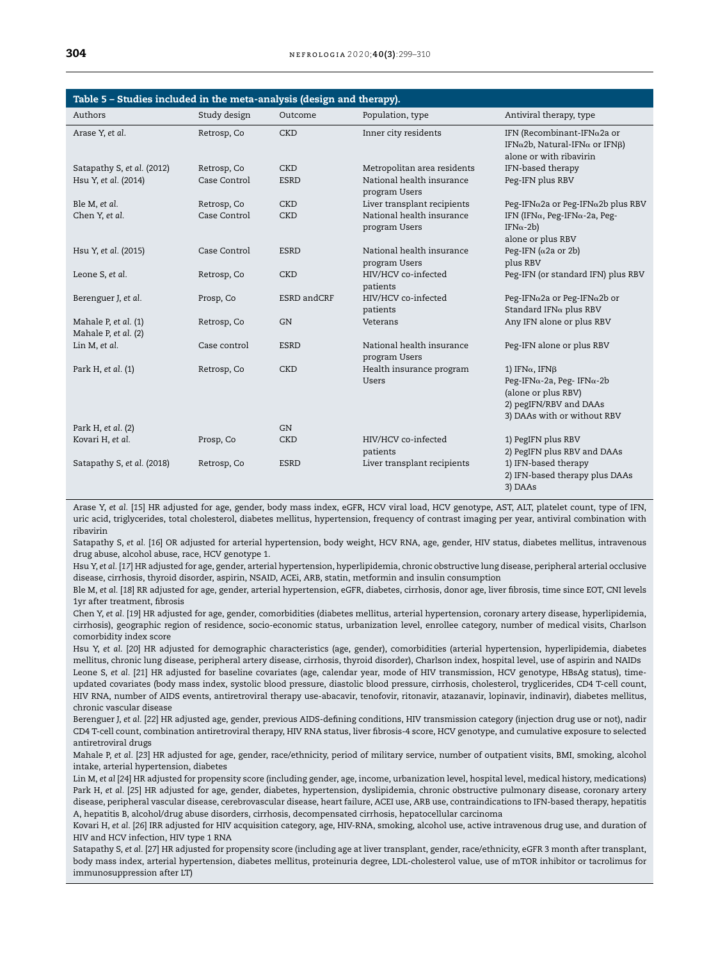<span id="page-5-0"></span>

| Table 5 - Studies included in the meta-analysis (design and therapy). |              |             |                                            |                                                                                                                                           |
|-----------------------------------------------------------------------|--------------|-------------|--------------------------------------------|-------------------------------------------------------------------------------------------------------------------------------------------|
| Authors                                                               | Study design | Outcome     | Population, type                           | Antiviral therapy, type                                                                                                                   |
| Arase Y, et al.                                                       | Retrosp, Co  | <b>CKD</b>  | Inner city residents                       | IFN (Recombinant-IFN $\alpha$ 2a or<br>IFN $\alpha$ 2b, Natural-IFN $\alpha$ or IFN $\beta$ )<br>alone or with ribavirin                  |
| Satapathy S, et al. (2012)                                            | Retrosp, Co  | <b>CKD</b>  | Metropolitan area residents                | IFN-based therapy                                                                                                                         |
| Hsu Y, et al. (2014)                                                  | Case Control | <b>ESRD</b> | National health insurance<br>program Users | Peg-IFN plus RBV                                                                                                                          |
| Ble M, et al.                                                         | Retrosp, Co  | <b>CKD</b>  | Liver transplant recipients                | Peg-IFNα2a or Peg-IFNα2b plus RBV                                                                                                         |
| Chen Y, et al.                                                        | Case Control | <b>CKD</b>  | National health insurance<br>program Users | IFN (IFN $\alpha$ , Peg-IFN $\alpha$ -2a, Peg-<br>IFN $\alpha$ -2b)<br>alone or plus RBV                                                  |
| Hsu Y, et al. (2015)                                                  | Case Control | <b>ESRD</b> | National health insurance<br>program Users | Peg-IFN ( $\alpha$ 2a or 2b)<br>plus RBV                                                                                                  |
| Leone S, et al.                                                       | Retrosp, Co  | <b>CKD</b>  | HIV/HCV co-infected<br>patients            | Peg-IFN (or standard IFN) plus RBV                                                                                                        |
| Berenguer J, et al.                                                   | Prosp, Co    | ESRD andCRF | HIV/HCV co-infected<br>patients            | Peg-IFN $\alpha$ 2a or Peg-IFN $\alpha$ 2b or<br>Standard IFN $\alpha$ plus RBV                                                           |
| Mahale P, et al. (1)<br>Mahale P, et al. (2)                          | Retrosp, Co  | GN          | Veterans                                   | Any IFN alone or plus RBV                                                                                                                 |
| Lin M, et al.                                                         | Case control | <b>ESRD</b> | National health insurance<br>program Users | Peg-IFN alone or plus RBV                                                                                                                 |
| Park H, et al. (1)                                                    | Retrosp, Co  | <b>CKD</b>  | Health insurance program<br><b>Users</b>   | 1) IFN $\alpha$ , IFN $\beta$<br>Peg-IFNα-2a, Peg-IFNα-2b<br>(alone or plus RBV)<br>2) pegIFN/RBV and DAAs<br>3) DAAs with or without RBV |
| Park H, et al. (2)                                                    |              | <b>GN</b>   |                                            |                                                                                                                                           |
| Kovari H, et al.                                                      | Prosp, Co    | <b>CKD</b>  | HIV/HCV co-infected<br>patients            | 1) PegIFN plus RBV<br>2) PegIFN plus RBV and DAAs                                                                                         |
| Satapathy S, et al. (2018)                                            | Retrosp, Co  | <b>ESRD</b> | Liver transplant recipients                | 1) IFN-based therapy<br>2) IFN-based therapy plus DAAs<br>3) DAAs                                                                         |

Arase Y, *et al.* [*15*] HR adjusted for age, gender, body mass index, eGFR, HCV viral load, HCV genotype, AST, ALT, platelet count, type of IFN, uric acid, triglycerides, total cholesterol, diabetes mellitus, hypertension, frequency of contrast imaging per year, antiviral combination with ribavirin

Satapathy S, *et al.* [*16*] OR adjusted for arterial hypertension, body weight, HCV RNA, age, gender, HIV status, diabetes mellitus, intravenous drug abuse, alcohol abuse, race, HCV genotype 1.

Hsu Y, *et al.* [*17*] HR adjusted for age, gender, arterial hypertension, hyperlipidemia, chronic obstructive lung disease, peripheral arterial occlusive disease, cirrhosis, thyroid disorder, aspirin, NSAID, ACEi, ARB, statin, metformin and insulin consumption

Ble M, *et al.* [*18*] RR adjusted for age, gender, arterial hypertension, eGFR, diabetes, cirrhosis, donor age, liver fibrosis, time since EOT, CNI levels 1yr after treatment, fibrosis

Chen Y, *et al.* [*19*] HR adjusted for age, gender, comorbidities (diabetes mellitus, arterial hypertension, coronary artery disease, hyperlipidemia, cirrhosis), geographic region of residence, socio-economic status, urbanization level, enrollee category, number of medical visits, Charlson comorbidity index score

Hsu Y, *et al*. [*20*] HR adjusted for demographic characteristics (age, gender), comorbidities (arterial hypertension, hyperlipidemia, diabetes mellitus, chronic lung disease, peripheral artery disease, cirrhosis, thyroid disorder), Charlson index, hospital level, use of aspirin and NAIDs Leone S, *et al.* [*21*] HR adjusted for baseline covariates (age, calendar year, mode of HIV transmission, HCV genotype, HBsAg status), time-

updated covariates (body mass index, systolic blood pressure, diastolic blood pressure, cirrhosis, cholesterol, tryglicerides, CD4 T-cell count, HIV RNA, number of AIDS events, antiretroviral therapy use-abacavir, tenofovir, ritonavir, atazanavir, lopinavir, indinavir), diabetes mellitus, chronic vascular disease

Berenguer J, *et al.* [*22*] HR adjusted age, gender, previous AIDS-defining conditions, HIV transmission category (injection drug use or not), nadir CD4 T-cell count, combination antiretroviral therapy, HIV RNA status, liver fibrosis-4 score, HCV genotype, and cumulative exposure to selected antiretroviral drugs

Mahale P, *et al.* [*23*] HR adjusted for age, gender, race/ethnicity, period of military service, number of outpatient visits, BMI, smoking, alcohol intake, arterial hypertension, diabetes

Lin M, *et al* [*24*] HR adjusted for propensity score (including gender, age, income, urbanization level, hospital level, medical history, medications) Park H, *et al.* [*25*] HR adjusted for age, gender, diabetes, hypertension, dyslipidemia, chronic obstructive pulmonary disease, coronary artery disease, peripheral vascular disease, cerebrovascular disease, heart failure, ACEI use, ARB use, contraindications to IFN-based therapy, hepatitis A, hepatitis B, alcohol/drug abuse disorders, cirrhosis, decompensated cirrhosis, hepatocellular carcinoma

Kovari H, *et al.* [*26*] IRR adjusted for HIV acquisition category, age, HIV-RNA, smoking, alcohol use, active intravenous drug use, and duration of HIV and HCV infection, HIV type 1 RNA

Satapathy S, *et al.* [27] HR adjusted for propensity score (including age at liver transplant, gender, race/ethnicity, eGFR 3 month after transplant, body mass index, arterial hypertension, diabetes mellitus, proteinuria degree, LDL-cholesterol value, use of mTOR inhibitor or tacrolimus for immunosuppression after LT)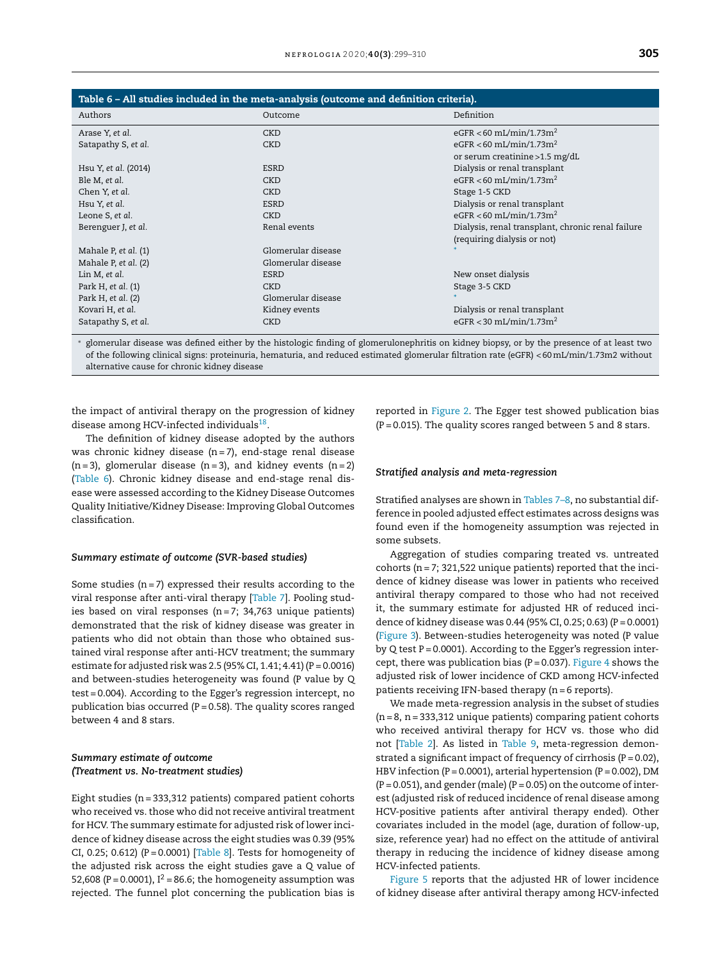<span id="page-6-0"></span>

| Dialysis, renal transplant, chronic renal failure |
|---------------------------------------------------|
|                                                   |
|                                                   |
|                                                   |
|                                                   |
|                                                   |
|                                                   |
|                                                   |
|                                                   |
|                                                   |

<sup>∗</sup> glomerular disease was defined either by the histologic finding of glomerulonephritis on kidney biopsy, or by the presence of at least two of the following clinical signs: proteinuria, hematuria, and reduced estimated glomerular filtration rate (eGFR) < 60mL/min/1.73m2 without alternative cause for chronic kidney disease

the impact of antiviral therapy on the progression of kidney disease among HCV-infected individuals<sup>[18](#page-10-0)</sup>.

The definition of kidney disease adopted by the authors was chronic kidney disease (n= 7), end-stage renal disease  $(n= 3)$ , glomerular disease  $(n= 3)$ , and kidney events  $(n= 2)$ (Table 6). Chronic kidney disease and end-stage renal disease were assessed according to the Kidney Disease Outcomes Quality Initiative/Kidney Disease: Improving Global Outcomes classification.

#### *Summary estimate of outcome (SVR-based studies)*

Some studies  $(n = 7)$  expressed their results according to the viral response after anti-viral therapy [[Table](#page-7-0) 7]. Pooling studies based on viral responses  $(n=7; 34,763)$  unique patients) demonstrated that the risk of kidney disease was greater in patients who did not obtain than those who obtained sustained viral response after anti-HCV treatment; the summary estimate for adjusted risk was 2.5 (95% CI, 1.41; 4.41) ( $P = 0.0016$ ) and between-studies heterogeneity was found (P value by Q test = 0.004). According to the Egger's regression intercept, no publication bias occurred ( $P = 0.58$ ). The quality scores ranged between 4 and 8 stars.

### *Summary estimate of outcome (Treatment vs. No-treatment studies)*

Eight studies (n= 333,312 patients) compared patient cohorts who received vs. those who did not receive antiviral treatment for HCV. The summary estimate for adjusted risk of lower incidence of kidney disease across the eight studies was 0.39 (95% CI, 0.25; 0.612) (P = 0.0001) [\[Table](#page-7-0) 8]. Tests for homogeneity of the adjusted risk across the eight studies gave a Q value of 52,608 (P = 0.0001),  $I^2$  = 86.6; the homogeneity assumption was rejected. The funnel plot concerning the publication bias is reported in [Figure](#page-8-0) 2. The Egger test showed publication bias  $(P = 0.015)$ . The quality scores ranged between 5 and 8 stars.

#### *Stratified analysis and meta-regression*

Stratified analyses are shown in [Tables](#page-7-0) 7–8, no substantial difference in pooled adjusted effect estimates across designs was found even if the homogeneity assumption was rejected in some subsets.

Aggregation of studies comparing treated vs. untreated cohorts ( $n = 7$ ; 321,522 unique patients) reported that the incidence of kidney disease was lower in patients who received antiviral therapy compared to those who had not received it, the summary estimate for adjusted HR of reduced incidence of kidney disease was 0.44 (95% CI, 0.25; 0.63) (P = 0.0001) ([Figure](#page-8-0) 3). Between-studies heterogeneity was noted (P value by Q test  $P = 0.0001$ ). According to the Egger's regression intercept, there was publication bias ( $P = 0.037$ ). [Figure](#page-9-0) 4 shows the adjusted risk of lower incidence of CKD among HCV-infected patients receiving IFN-based therapy (n= 6 reports).

We made meta-regression analysis in the subset of studies  $(n = 8, n = 333,312$  unique patients) comparing patient cohorts who received antiviral therapy for HCV vs. those who did not [\[Table](#page-4-0) 2]. As listed in [Table](#page-9-0) 9, meta-regression demonstrated a significant impact of frequency of cirrhosis ( $P = 0.02$ ), HBV infection (P = 0.0001), arterial hypertension (P = 0.002), DM  $(P = 0.051)$ , and gender (male)  $(P = 0.05)$  on the outcome of interest (adjusted risk of reduced incidence of renal disease among HCV-positive patients after antiviral therapy ended). Other covariates included in the model (age, duration of follow-up, size, reference year) had no effect on the attitude of antiviral therapy in reducing the incidence of kidney disease among HCV-infected patients.

[Figure](#page-9-0) 5 reports that the adjusted HR of lower incidence of kidney disease after antiviral therapy among HCV-infected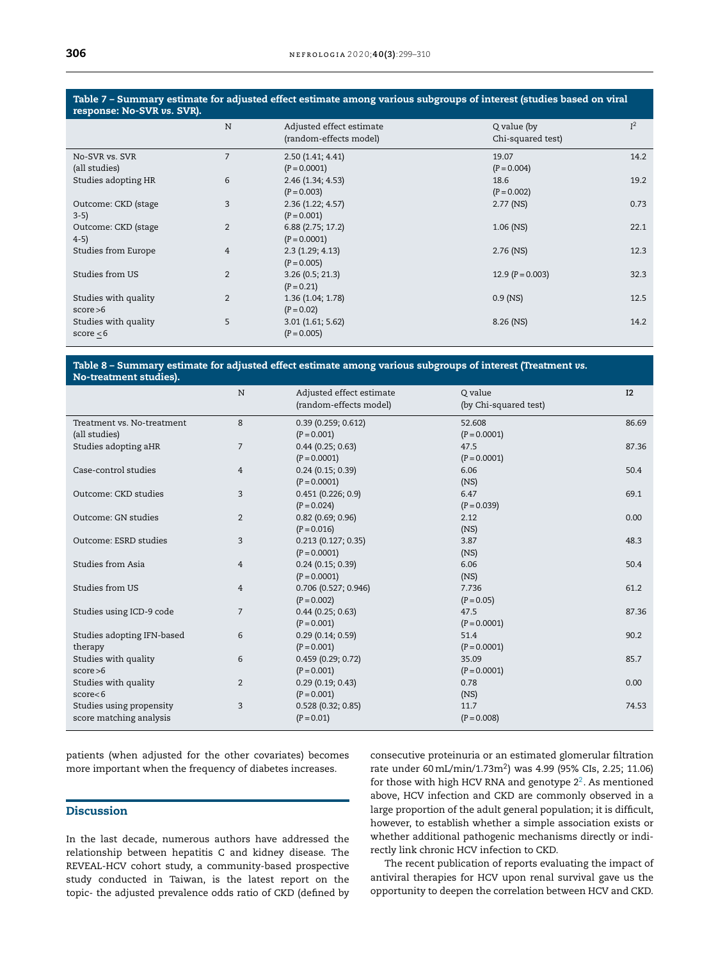## <span id="page-7-0"></span>Table 7 – Summary estimate for adjusted effect estimate among various subgroups of interest (studies based on viral response: No-SVR *vs.* SVR).

|                      | N              | Adjusted effect estimate<br>(random-effects model) | Q value (by<br>Chi-squared test) | I <sup>2</sup> |
|----------------------|----------------|----------------------------------------------------|----------------------------------|----------------|
| No-SVR vs. SVR       | 7              | 2.50(1.41; 4.41)                                   | 19.07                            | 14.2           |
| (all studies)        |                | $(P = 0.0001)$                                     | $(P = 0.004)$                    |                |
| Studies adopting HR  | 6              | 2.46(1.34; 4.53)                                   | 18.6                             | 19.2           |
|                      |                | $(P = 0.003)$                                      | $(P = 0.002)$                    |                |
| Outcome: CKD (stage) | 3              | 2.36(1.22; 4.57)                                   | $2.77$ (NS)                      | 0.73           |
| $3-5)$               |                | $(P = 0.001)$                                      |                                  |                |
| Outcome: CKD (stage) | $\overline{2}$ | 6.88(2.75; 17.2)                                   | $1.06$ (NS)                      | 22.1           |
| $4-5)$               |                | $(P = 0.0001)$                                     |                                  |                |
| Studies from Europe  | $\overline{4}$ | 2.3(1.29; 4.13)                                    | $2.76$ (NS)                      | 12.3           |
|                      |                | $(P = 0.005)$                                      |                                  |                |
| Studies from US      | $\overline{2}$ | 3.26(0.5; 21.3)                                    | 12.9 $(P = 0.003)$               | 32.3           |
|                      |                | $(P = 0.21)$                                       |                                  |                |
| Studies with quality | $\overline{2}$ | 1.36(1.04; 1.78)                                   | $0.9$ (NS)                       | 12.5           |
| score > 6            |                | $(P = 0.02)$                                       |                                  |                |
| Studies with quality | 5              | 3.01(1.61; 5.62)                                   | 8.26 (NS)                        | 14.2           |
| score $< 6$          |                | $(P = 0.005)$                                      |                                  |                |
|                      |                |                                                    |                                  |                |

#### Table 8 – Summary estimate for adjusted effect estimate among various subgroups of interest (Treatment *vs.* No-treatment studies).

|                                                     | N              | Adjusted effect estimate<br>(random-effects model) | Q value<br>(by Chi-squared test) | I2    |
|-----------------------------------------------------|----------------|----------------------------------------------------|----------------------------------|-------|
| Treatment vs. No-treatment<br>(all studies)         | 8              | 0.39(0.259; 0.612)<br>$(P = 0.001)$                | 52.608<br>$(P = 0.0001)$         | 86.69 |
| Studies adopting aHR                                | $\overline{7}$ | $0.44$ (0.25; 0.63)<br>$(P = 0.0001)$              | 47.5<br>$(P = 0.0001)$           | 87.36 |
| Case-control studies                                | $\overline{4}$ | $0.24$ (0.15; 0.39)<br>$(P = 0.0001)$              | 6.06<br>(NS)                     | 50.4  |
| Outcome: CKD studies                                | 3              | 0.451(0.226; 0.9)<br>$(P = 0.024)$                 | 6.47<br>$(P = 0.039)$            | 69.1  |
| Outcome: GN studies                                 | 2              | $0.82$ (0.69; 0.96)<br>$(P = 0.016)$               | 2.12<br>(NS)                     | 0.00  |
| Outcome: ESRD studies                               | 3              | $0.213$ (0.127; 0.35)<br>$(P = 0.0001)$            | 3.87<br>(NS)                     | 48.3  |
| Studies from Asia                                   | 4              | $0.24$ (0.15; 0.39)<br>$(P = 0.0001)$              | 6.06<br>(NS)                     | 50.4  |
| Studies from US                                     | $\overline{4}$ | 0.706 (0.527; 0.946)<br>$(P = 0.002)$              | 7.736<br>$(P = 0.05)$            | 61.2  |
| Studies using ICD-9 code                            | $\overline{7}$ | $0.44$ (0.25; 0.63)<br>$(P = 0.001)$               | 47.5<br>$(P = 0.0001)$           | 87.36 |
| Studies adopting IFN-based<br>therapy               | 6              | 0.29(0.14; 0.59)<br>$(P = 0.001)$                  | 51.4<br>$(P = 0.0001)$           | 90.2  |
| Studies with quality<br>score > 6                   | 6              | 0.459(0.29; 0.72)<br>$(P = 0.001)$                 | 35.09<br>$(P = 0.0001)$          | 85.7  |
| Studies with quality<br>score < 6                   | $\overline{2}$ | 0.29(0.19; 0.43)<br>$(P = 0.001)$                  | 0.78<br>(NS)                     | 0.00  |
| Studies using propensity<br>score matching analysis | 3              | 0.528(0.32; 0.85)<br>$(P = 0.01)$                  | 11.7<br>$(P = 0.008)$            | 74.53 |

patients (when adjusted for the other covariates) becomes more important when the frequency of diabetes increases.

## Discussion

In the last decade, numerous authors have addressed the relationship between hepatitis C and kidney disease. The REVEAL-HCV cohort study, a community-based prospective study conducted in Taiwan, is the latest report on the topic- the adjusted prevalence odds ratio of CKD (defined by

consecutive proteinuria or an estimated glomerular filtration rate under 60 mL/min/1.73m<sup>2</sup>) was 4.99 (95% CIs, 2.25; 11.06) for those with high HCV RNA and genotype  $2^2$  $2^2$ . As mentioned above, HCV infection and CKD are commonly observed in a large proportion of the adult general population; it is difficult, however, to establish whether a simple association exists or whether additional pathogenic mechanisms directly or indirectly link chronic HCV infection to CKD.

The recent publication of reports evaluating the impact of antiviral therapies for HCV upon renal survival gave us the opportunity to deepen the correlation between HCV and CKD.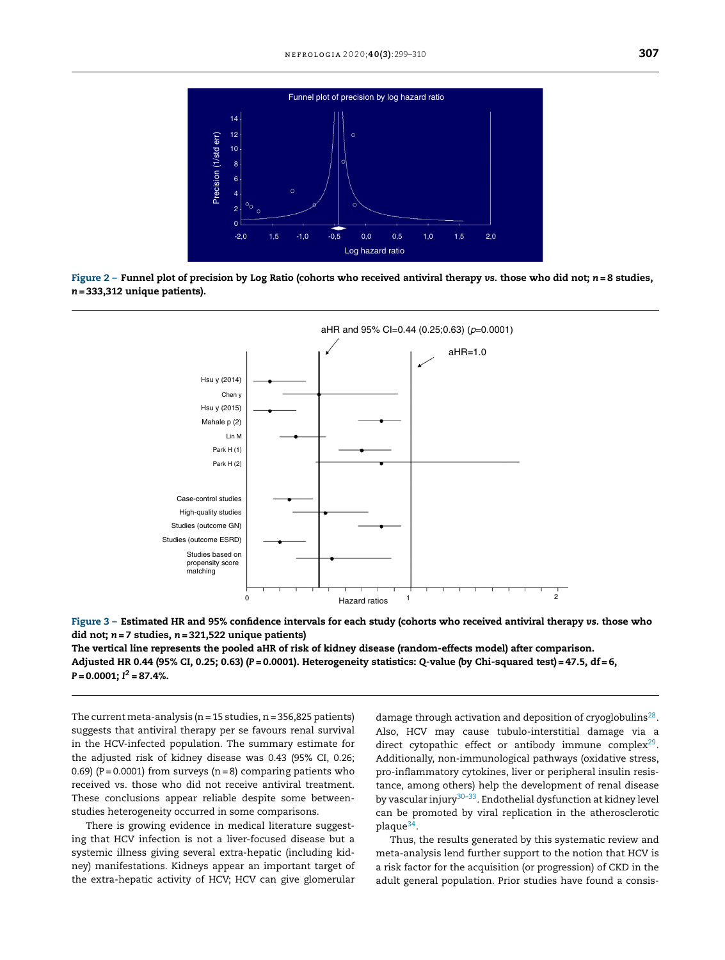<span id="page-8-0"></span>

Figure 2 – Funnel plot of precision by Log Ratio (cohorts who received antiviral therapy *vs.* those who did not; *n* = 8 studies, *n* = 333,312 unique patients).





The vertical line represents the pooled aHR of risk of kidney disease (random-effects model) after comparison. Adjusted HR 0.44 (95% CI, 0.25; 0.63) (*P* = 0.0001). Heterogeneity statistics: *Q-*value (by Chi-squared test) = 47.5, df = 6, *P* = 0.0001; *I* <sup>2</sup> = 87.4%.

The current meta-analysis ( $n = 15$  studies,  $n = 356,825$  patients) suggests that antiviral therapy per se favours renal survival in the HCV-infected population. The summary estimate for the adjusted risk of kidney disease was 0.43 (95% CI, 0.26; 0.69) ( $P = 0.0001$ ) from surveys ( $n = 8$ ) comparing patients who received vs. those who did not receive antiviral treatment. These conclusions appear reliable despite some betweenstudies heterogeneity occurred in some comparisons.

There is growing evidence in medical literature suggesting that HCV infection is not a liver-focused disease but a systemic illness giving several extra-hepatic (including kidney) manifestations. Kidneys appear an important target of the extra-hepatic activity of HCV; HCV can give glomerular

damage through activation and deposition of cryoglobulins<sup>[28](#page-11-0)</sup>. Also, HCV may cause tubulo-interstitial damage via a direct cytopathic effect or antibody immune complex<sup>[29](#page-11-0)</sup>. Additionally, non-immunological pathways (oxidative stress, pro-inflammatory cytokines, liver or peripheral insulin resistance, among others) help the development of renal disease by vascular injury<sup>[30–33](#page-11-0)</sup>. Endothelial dysfunction at kidney level can be promoted by viral replication in the atherosclerotic plaque<sup>[34](#page-11-0)</sup>.

Thus, the results generated by this systematic review and meta-analysis lend further support to the notion that HCV is a risk factor for the acquisition (or progression) of CKD in the adult general population. Prior studies have found a consis-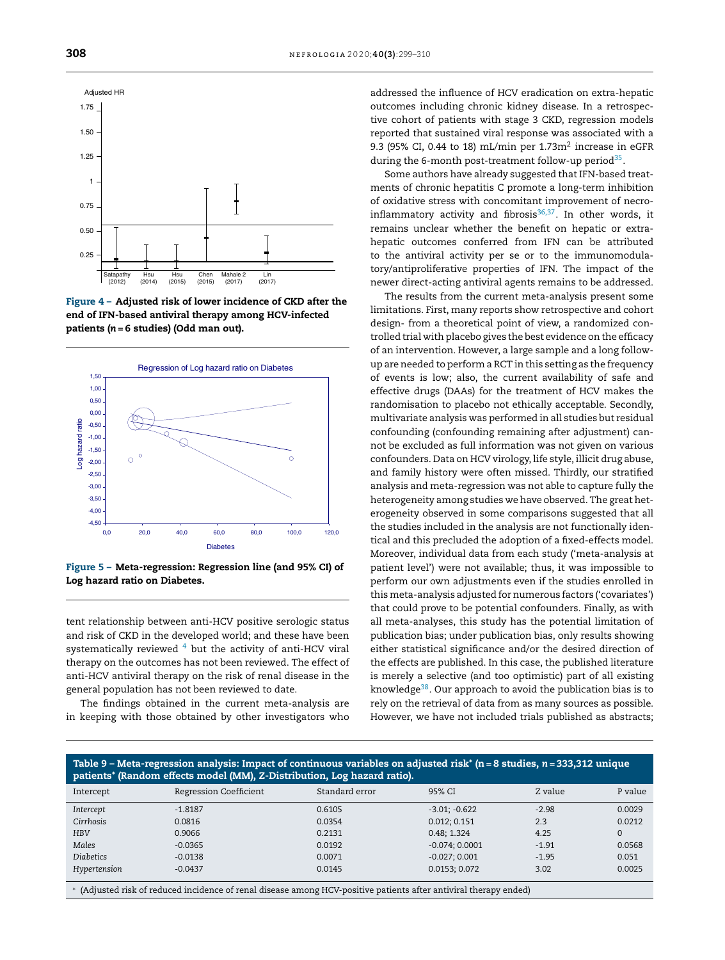<span id="page-9-0"></span>





Figure 5 – Meta-regression: Regression line (and 95% CI) of Log hazard ratio on Diabetes.

tent relationship between anti-HCV positive serologic status and risk of CKD in the developed world; and these have been systematically reviewed  $4$  but the activity of anti-HCV viral therapy on the outcomes has not been reviewed. The effect of anti-HCV antiviral therapy on the risk of renal disease in the general population has not been reviewed to date.

The findings obtained in the current meta-analysis are in keeping with those obtained by other investigators who addressed the influence of HCV eradication on extra-hepatic outcomes including chronic kidney disease. In a retrospective cohort of patients with stage 3 CKD, regression models reported that sustained viral response was associated with a 9.3 (95% CI, 0.44 to 18) mL/min per 1.73m $^2$  increase in eGFR during the 6-month post-treatment follow-up period<sup>[35](#page-11-0)</sup>.

Some authors have already suggested that IFN-based treatments of chronic hepatitis C promote a long-term inhibition of oxidative stress with concomitant improvement of necroinflammatory activity and fibrosis $^{36,37}.$  $^{36,37}.$  $^{36,37}.$  In other words, it remains unclear whether the benefit on hepatic or extrahepatic outcomes conferred from IFN can be attributed to the antiviral activity per se or to the immunomodulatory/antiproliferative properties of IFN. The impact of the newer direct-acting antiviral agents remains to be addressed.

The results from the current meta-analysis present some limitations. First, many reports show retrospective and cohort design- from a theoretical point of view, a randomized controlled trial with placebo gives the best evidence on the efficacy of an intervention. However, a large sample and a long followup are needed to perform a RCT in this setting as the frequency of events is low; also, the current availability of safe and effective drugs (DAAs) for the treatment of HCV makes the randomisation to placebo not ethically acceptable. Secondly, multivariate analysis was performed in all studies but residual confounding (confounding remaining after adjustment) cannot be excluded as full information was not given on various confounders. Data on HCV virology, life style, illicit drug abuse, and family history were often missed. Thirdly, our stratified analysis and meta-regression was not able to capture fully the heterogeneity among studies we have observed. The great heterogeneity observed in some comparisons suggested that all the studies included in the analysis are not functionally identical and this precluded the adoption of a fixed-effects model. Moreover, individual data from each study ('meta-analysis at patient level') were not available; thus, it was impossible to perform our own adjustments even if the studies enrolled in this meta-analysis adjusted for numerous factors ('covariates') that could prove to be potential confounders. Finally, as with all meta-analyses, this study has the potential limitation of publication bias; under publication bias, only results showing either statistical significance and/or the desired direction of the effects are published. In this case, the published literature is merely a selective (and too optimistic) part of all existing knowledge<sup>[38](#page-11-0)</sup>. Our approach to avoid the publication bias is to rely on the retrieval of data from as many sources as possible. However, we have not included trials published as abstracts;

|           | Table 9 – Meta-regression analysis: Impact of continuous variables on adjusted risk* (n = 8 studies, n = 333,312 unique<br>patients* (Random effects model (MM), Z-Distribution, Log hazard ratio). |                |        |         |         |
|-----------|-----------------------------------------------------------------------------------------------------------------------------------------------------------------------------------------------------|----------------|--------|---------|---------|
| Intercept | Regression Coefficient                                                                                                                                                                              | Standard error | 95% CI | Z value | P value |

|                  | $\sim$    |        |                  |         |        |
|------------------|-----------|--------|------------------|---------|--------|
| Intercept        | $-1.8187$ | 0.6105 | $-3.01; -0.622$  | $-2.98$ | 0.0029 |
| Cirrhosis        | 0.0816    | 0.0354 | 0.012; 0.151     | 2.3     | 0.0212 |
| <b>HBV</b>       | 0.9066    | 0.2131 | 0.48:1.324       | 4.25    |        |
| Males            | $-0.0365$ | 0.0192 | $-0.074; 0.0001$ | $-1.91$ | 0.0568 |
| <b>Diabetics</b> | $-0.0138$ | 0.0071 | $-0.027; 0.001$  | $-1.95$ | 0.051  |
| Hypertension     | $-0.0437$ | 0.0145 | 0.0153; 0.072    | 3.02    | 0.0025 |
|                  |           |        |                  |         |        |

∗ (Adjusted risk of reduced incidence of renal disease among HCV-positive patients after antiviral therapy ended)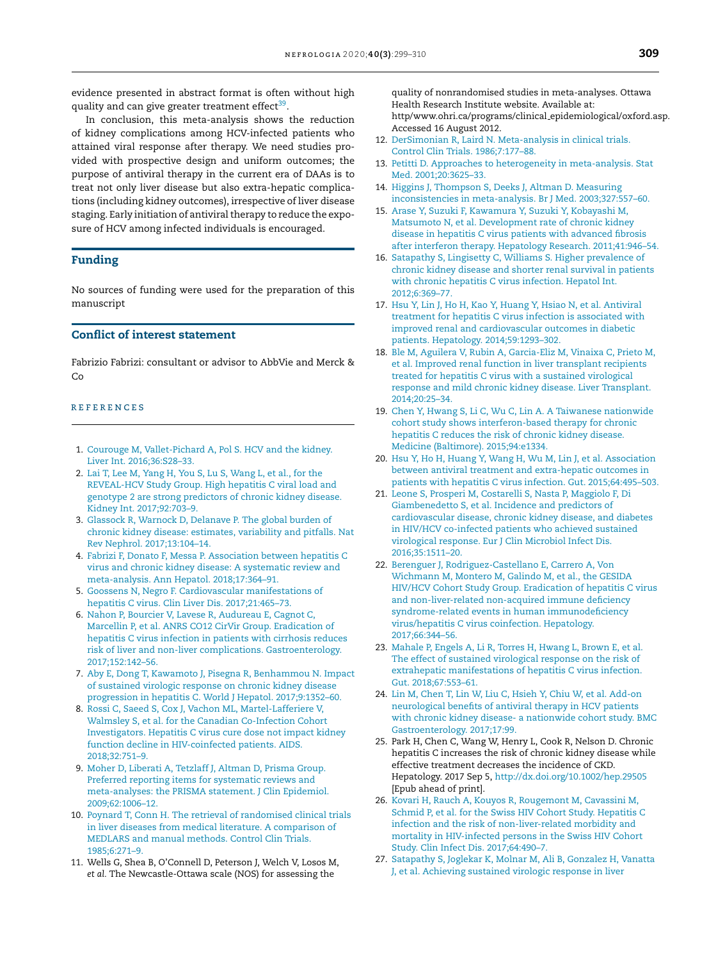<span id="page-10-0"></span>evidence presented in abstract format is often without high quality and can give greater treatment effect<sup>[39](#page-11-0)</sup>.

In conclusion, this meta-analysis shows the reduction of kidney complications among HCV-infected patients who attained viral response after therapy. We need studies provided with prospective design and uniform outcomes; the purpose of antiviral therapy in the current era of DAAs is to treat not only liver disease but also extra-hepatic complications (including kidney outcomes), irrespective of liver disease staging. Early initiation of antiviral therapy to reduce the exposure of HCV among infected individuals is encouraged.

## Funding

No sources of funding were used for the preparation of this manuscript

## Conflict of interest statement

Fabrizio Fabrizi: consultant or advisor to AbbVie and Merck & Co

#### **REFERENCES**

- 1. [Courouge](http://refhub.elsevier.com/S0211-6995(19)30178-X/sbref0200) [M,](http://refhub.elsevier.com/S0211-6995(19)30178-X/sbref0200) [Vallet-Pichard](http://refhub.elsevier.com/S0211-6995(19)30178-X/sbref0200) [A,](http://refhub.elsevier.com/S0211-6995(19)30178-X/sbref0200) [Pol](http://refhub.elsevier.com/S0211-6995(19)30178-X/sbref0200) [S.](http://refhub.elsevier.com/S0211-6995(19)30178-X/sbref0200) [HCV](http://refhub.elsevier.com/S0211-6995(19)30178-X/sbref0200) [and](http://refhub.elsevier.com/S0211-6995(19)30178-X/sbref0200) [the](http://refhub.elsevier.com/S0211-6995(19)30178-X/sbref0200) [kidney.](http://refhub.elsevier.com/S0211-6995(19)30178-X/sbref0200) [Liver](http://refhub.elsevier.com/S0211-6995(19)30178-X/sbref0200) [Int.](http://refhub.elsevier.com/S0211-6995(19)30178-X/sbref0200) [2016;36:S28](http://refhub.elsevier.com/S0211-6995(19)30178-X/sbref0200)–[33.](http://refhub.elsevier.com/S0211-6995(19)30178-X/sbref0200)
- 2. [Lai](http://refhub.elsevier.com/S0211-6995(19)30178-X/sbref0205) [T,](http://refhub.elsevier.com/S0211-6995(19)30178-X/sbref0205) [Lee](http://refhub.elsevier.com/S0211-6995(19)30178-X/sbref0205) [M,](http://refhub.elsevier.com/S0211-6995(19)30178-X/sbref0205) [Yang](http://refhub.elsevier.com/S0211-6995(19)30178-X/sbref0205) [H,](http://refhub.elsevier.com/S0211-6995(19)30178-X/sbref0205) [You](http://refhub.elsevier.com/S0211-6995(19)30178-X/sbref0205) [S,](http://refhub.elsevier.com/S0211-6995(19)30178-X/sbref0205) [Lu](http://refhub.elsevier.com/S0211-6995(19)30178-X/sbref0205) [S,](http://refhub.elsevier.com/S0211-6995(19)30178-X/sbref0205) [Wang](http://refhub.elsevier.com/S0211-6995(19)30178-X/sbref0205) [L,](http://refhub.elsevier.com/S0211-6995(19)30178-X/sbref0205) [et](http://refhub.elsevier.com/S0211-6995(19)30178-X/sbref0205) [al.,](http://refhub.elsevier.com/S0211-6995(19)30178-X/sbref0205) [for](http://refhub.elsevier.com/S0211-6995(19)30178-X/sbref0205) [the](http://refhub.elsevier.com/S0211-6995(19)30178-X/sbref0205) [REVEAL-HCV](http://refhub.elsevier.com/S0211-6995(19)30178-X/sbref0205) [Study](http://refhub.elsevier.com/S0211-6995(19)30178-X/sbref0205) [Group.](http://refhub.elsevier.com/S0211-6995(19)30178-X/sbref0205) [High](http://refhub.elsevier.com/S0211-6995(19)30178-X/sbref0205) [hepatitis](http://refhub.elsevier.com/S0211-6995(19)30178-X/sbref0205) [C](http://refhub.elsevier.com/S0211-6995(19)30178-X/sbref0205) [viral](http://refhub.elsevier.com/S0211-6995(19)30178-X/sbref0205) [load](http://refhub.elsevier.com/S0211-6995(19)30178-X/sbref0205) [and](http://refhub.elsevier.com/S0211-6995(19)30178-X/sbref0205) [genotype](http://refhub.elsevier.com/S0211-6995(19)30178-X/sbref0205) [2](http://refhub.elsevier.com/S0211-6995(19)30178-X/sbref0205) [are](http://refhub.elsevier.com/S0211-6995(19)30178-X/sbref0205) [strong](http://refhub.elsevier.com/S0211-6995(19)30178-X/sbref0205) [predictors](http://refhub.elsevier.com/S0211-6995(19)30178-X/sbref0205) [of](http://refhub.elsevier.com/S0211-6995(19)30178-X/sbref0205) [chronic](http://refhub.elsevier.com/S0211-6995(19)30178-X/sbref0205) [kidney](http://refhub.elsevier.com/S0211-6995(19)30178-X/sbref0205) [disease.](http://refhub.elsevier.com/S0211-6995(19)30178-X/sbref0205) [Kidney](http://refhub.elsevier.com/S0211-6995(19)30178-X/sbref0205) [Int.](http://refhub.elsevier.com/S0211-6995(19)30178-X/sbref0205) [2017;92:703–9.](http://refhub.elsevier.com/S0211-6995(19)30178-X/sbref0205)
- 3. [Glassock](http://refhub.elsevier.com/S0211-6995(19)30178-X/sbref0210) [R,](http://refhub.elsevier.com/S0211-6995(19)30178-X/sbref0210) [Warnock](http://refhub.elsevier.com/S0211-6995(19)30178-X/sbref0210) [D,](http://refhub.elsevier.com/S0211-6995(19)30178-X/sbref0210) [Delanave](http://refhub.elsevier.com/S0211-6995(19)30178-X/sbref0210) [P.](http://refhub.elsevier.com/S0211-6995(19)30178-X/sbref0210) [The](http://refhub.elsevier.com/S0211-6995(19)30178-X/sbref0210) [global](http://refhub.elsevier.com/S0211-6995(19)30178-X/sbref0210) [burden](http://refhub.elsevier.com/S0211-6995(19)30178-X/sbref0210) [of](http://refhub.elsevier.com/S0211-6995(19)30178-X/sbref0210) [chronic](http://refhub.elsevier.com/S0211-6995(19)30178-X/sbref0210) [kidney](http://refhub.elsevier.com/S0211-6995(19)30178-X/sbref0210) [disease:](http://refhub.elsevier.com/S0211-6995(19)30178-X/sbref0210) [estimates,](http://refhub.elsevier.com/S0211-6995(19)30178-X/sbref0210) [variability](http://refhub.elsevier.com/S0211-6995(19)30178-X/sbref0210) [and](http://refhub.elsevier.com/S0211-6995(19)30178-X/sbref0210) [pitfalls.](http://refhub.elsevier.com/S0211-6995(19)30178-X/sbref0210) [Nat](http://refhub.elsevier.com/S0211-6995(19)30178-X/sbref0210) [Rev](http://refhub.elsevier.com/S0211-6995(19)30178-X/sbref0210) [Nephrol.](http://refhub.elsevier.com/S0211-6995(19)30178-X/sbref0210) [2017;13:104–14.](http://refhub.elsevier.com/S0211-6995(19)30178-X/sbref0210)
- 4. [Fabrizi](http://refhub.elsevier.com/S0211-6995(19)30178-X/sbref0215) [F,](http://refhub.elsevier.com/S0211-6995(19)30178-X/sbref0215) [Donato](http://refhub.elsevier.com/S0211-6995(19)30178-X/sbref0215) [F,](http://refhub.elsevier.com/S0211-6995(19)30178-X/sbref0215) [Messa](http://refhub.elsevier.com/S0211-6995(19)30178-X/sbref0215) [P.](http://refhub.elsevier.com/S0211-6995(19)30178-X/sbref0215) [Association](http://refhub.elsevier.com/S0211-6995(19)30178-X/sbref0215) [between](http://refhub.elsevier.com/S0211-6995(19)30178-X/sbref0215) [hepatitis](http://refhub.elsevier.com/S0211-6995(19)30178-X/sbref0215) [C](http://refhub.elsevier.com/S0211-6995(19)30178-X/sbref0215) [virus](http://refhub.elsevier.com/S0211-6995(19)30178-X/sbref0215) [and](http://refhub.elsevier.com/S0211-6995(19)30178-X/sbref0215) [chronic](http://refhub.elsevier.com/S0211-6995(19)30178-X/sbref0215) [kidney](http://refhub.elsevier.com/S0211-6995(19)30178-X/sbref0215) [disease:](http://refhub.elsevier.com/S0211-6995(19)30178-X/sbref0215) [A](http://refhub.elsevier.com/S0211-6995(19)30178-X/sbref0215) [systematic](http://refhub.elsevier.com/S0211-6995(19)30178-X/sbref0215) [review](http://refhub.elsevier.com/S0211-6995(19)30178-X/sbref0215) [and](http://refhub.elsevier.com/S0211-6995(19)30178-X/sbref0215) [meta-analysis.](http://refhub.elsevier.com/S0211-6995(19)30178-X/sbref0215) [Ann](http://refhub.elsevier.com/S0211-6995(19)30178-X/sbref0215) [Hepatol.](http://refhub.elsevier.com/S0211-6995(19)30178-X/sbref0215) [2018;17:364–91.](http://refhub.elsevier.com/S0211-6995(19)30178-X/sbref0215)
- 5. [Goossens](http://refhub.elsevier.com/S0211-6995(19)30178-X/sbref0220) [N,](http://refhub.elsevier.com/S0211-6995(19)30178-X/sbref0220) [Negro](http://refhub.elsevier.com/S0211-6995(19)30178-X/sbref0220) [F.](http://refhub.elsevier.com/S0211-6995(19)30178-X/sbref0220) [Cardiovascular](http://refhub.elsevier.com/S0211-6995(19)30178-X/sbref0220) [manifestations](http://refhub.elsevier.com/S0211-6995(19)30178-X/sbref0220) [of](http://refhub.elsevier.com/S0211-6995(19)30178-X/sbref0220) [hepatitis](http://refhub.elsevier.com/S0211-6995(19)30178-X/sbref0220) [C](http://refhub.elsevier.com/S0211-6995(19)30178-X/sbref0220) [virus.](http://refhub.elsevier.com/S0211-6995(19)30178-X/sbref0220) [Clin](http://refhub.elsevier.com/S0211-6995(19)30178-X/sbref0220) [Liver](http://refhub.elsevier.com/S0211-6995(19)30178-X/sbref0220) [Dis.](http://refhub.elsevier.com/S0211-6995(19)30178-X/sbref0220) [2017;21:465–73.](http://refhub.elsevier.com/S0211-6995(19)30178-X/sbref0220)
- 6. [Nahon](http://refhub.elsevier.com/S0211-6995(19)30178-X/sbref0225) [P,](http://refhub.elsevier.com/S0211-6995(19)30178-X/sbref0225) [Bourcier](http://refhub.elsevier.com/S0211-6995(19)30178-X/sbref0225) [V,](http://refhub.elsevier.com/S0211-6995(19)30178-X/sbref0225) [Lavese](http://refhub.elsevier.com/S0211-6995(19)30178-X/sbref0225) [R,](http://refhub.elsevier.com/S0211-6995(19)30178-X/sbref0225) [Audureau](http://refhub.elsevier.com/S0211-6995(19)30178-X/sbref0225) [E,](http://refhub.elsevier.com/S0211-6995(19)30178-X/sbref0225) [Cagnot](http://refhub.elsevier.com/S0211-6995(19)30178-X/sbref0225) [C,](http://refhub.elsevier.com/S0211-6995(19)30178-X/sbref0225) [Marcellin](http://refhub.elsevier.com/S0211-6995(19)30178-X/sbref0225) [P,](http://refhub.elsevier.com/S0211-6995(19)30178-X/sbref0225) [et](http://refhub.elsevier.com/S0211-6995(19)30178-X/sbref0225) [al.](http://refhub.elsevier.com/S0211-6995(19)30178-X/sbref0225) [ANRS](http://refhub.elsevier.com/S0211-6995(19)30178-X/sbref0225) [CO12](http://refhub.elsevier.com/S0211-6995(19)30178-X/sbref0225) [CirVir](http://refhub.elsevier.com/S0211-6995(19)30178-X/sbref0225) [Group.](http://refhub.elsevier.com/S0211-6995(19)30178-X/sbref0225) [Eradication](http://refhub.elsevier.com/S0211-6995(19)30178-X/sbref0225) [of](http://refhub.elsevier.com/S0211-6995(19)30178-X/sbref0225) [hepatitis](http://refhub.elsevier.com/S0211-6995(19)30178-X/sbref0225) [C](http://refhub.elsevier.com/S0211-6995(19)30178-X/sbref0225) [virus](http://refhub.elsevier.com/S0211-6995(19)30178-X/sbref0225) [infection](http://refhub.elsevier.com/S0211-6995(19)30178-X/sbref0225) [in](http://refhub.elsevier.com/S0211-6995(19)30178-X/sbref0225) [patients](http://refhub.elsevier.com/S0211-6995(19)30178-X/sbref0225) [with](http://refhub.elsevier.com/S0211-6995(19)30178-X/sbref0225) [cirrhosis](http://refhub.elsevier.com/S0211-6995(19)30178-X/sbref0225) [reduces](http://refhub.elsevier.com/S0211-6995(19)30178-X/sbref0225) [risk](http://refhub.elsevier.com/S0211-6995(19)30178-X/sbref0225) [of](http://refhub.elsevier.com/S0211-6995(19)30178-X/sbref0225) [liver](http://refhub.elsevier.com/S0211-6995(19)30178-X/sbref0225) [and](http://refhub.elsevier.com/S0211-6995(19)30178-X/sbref0225) [non-liver](http://refhub.elsevier.com/S0211-6995(19)30178-X/sbref0225) [complications.](http://refhub.elsevier.com/S0211-6995(19)30178-X/sbref0225) [Gastroenterology.](http://refhub.elsevier.com/S0211-6995(19)30178-X/sbref0225) [2017;152:142–56.](http://refhub.elsevier.com/S0211-6995(19)30178-X/sbref0225)
- 7. [Aby](http://refhub.elsevier.com/S0211-6995(19)30178-X/sbref0230) [E,](http://refhub.elsevier.com/S0211-6995(19)30178-X/sbref0230) [Dong](http://refhub.elsevier.com/S0211-6995(19)30178-X/sbref0230) [T,](http://refhub.elsevier.com/S0211-6995(19)30178-X/sbref0230) [Kawamoto](http://refhub.elsevier.com/S0211-6995(19)30178-X/sbref0230) [J,](http://refhub.elsevier.com/S0211-6995(19)30178-X/sbref0230) [Pisegna](http://refhub.elsevier.com/S0211-6995(19)30178-X/sbref0230) [R,](http://refhub.elsevier.com/S0211-6995(19)30178-X/sbref0230) [Benhammou](http://refhub.elsevier.com/S0211-6995(19)30178-X/sbref0230) [N.](http://refhub.elsevier.com/S0211-6995(19)30178-X/sbref0230) [Impact](http://refhub.elsevier.com/S0211-6995(19)30178-X/sbref0230) [of](http://refhub.elsevier.com/S0211-6995(19)30178-X/sbref0230) [sustained](http://refhub.elsevier.com/S0211-6995(19)30178-X/sbref0230) [virologic](http://refhub.elsevier.com/S0211-6995(19)30178-X/sbref0230) [response](http://refhub.elsevier.com/S0211-6995(19)30178-X/sbref0230) [on](http://refhub.elsevier.com/S0211-6995(19)30178-X/sbref0230) [chronic](http://refhub.elsevier.com/S0211-6995(19)30178-X/sbref0230) [kidney](http://refhub.elsevier.com/S0211-6995(19)30178-X/sbref0230) [disease](http://refhub.elsevier.com/S0211-6995(19)30178-X/sbref0230) [progression](http://refhub.elsevier.com/S0211-6995(19)30178-X/sbref0230) [in](http://refhub.elsevier.com/S0211-6995(19)30178-X/sbref0230) [hepatitis](http://refhub.elsevier.com/S0211-6995(19)30178-X/sbref0230) [C.](http://refhub.elsevier.com/S0211-6995(19)30178-X/sbref0230) [World](http://refhub.elsevier.com/S0211-6995(19)30178-X/sbref0230) [J](http://refhub.elsevier.com/S0211-6995(19)30178-X/sbref0230) [Hepatol.](http://refhub.elsevier.com/S0211-6995(19)30178-X/sbref0230) [2017;9:1352–60.](http://refhub.elsevier.com/S0211-6995(19)30178-X/sbref0230)
- 8. [Rossi](http://refhub.elsevier.com/S0211-6995(19)30178-X/sbref0235) [C,](http://refhub.elsevier.com/S0211-6995(19)30178-X/sbref0235) [Saeed](http://refhub.elsevier.com/S0211-6995(19)30178-X/sbref0235) [S,](http://refhub.elsevier.com/S0211-6995(19)30178-X/sbref0235) [Cox](http://refhub.elsevier.com/S0211-6995(19)30178-X/sbref0235) [J,](http://refhub.elsevier.com/S0211-6995(19)30178-X/sbref0235) [Vachon](http://refhub.elsevier.com/S0211-6995(19)30178-X/sbref0235) [ML,](http://refhub.elsevier.com/S0211-6995(19)30178-X/sbref0235) [Martel-Lafferiere](http://refhub.elsevier.com/S0211-6995(19)30178-X/sbref0235) [V,](http://refhub.elsevier.com/S0211-6995(19)30178-X/sbref0235) [Walmsley](http://refhub.elsevier.com/S0211-6995(19)30178-X/sbref0235) [S,](http://refhub.elsevier.com/S0211-6995(19)30178-X/sbref0235) [et](http://refhub.elsevier.com/S0211-6995(19)30178-X/sbref0235) [al.](http://refhub.elsevier.com/S0211-6995(19)30178-X/sbref0235) [for](http://refhub.elsevier.com/S0211-6995(19)30178-X/sbref0235) [the](http://refhub.elsevier.com/S0211-6995(19)30178-X/sbref0235) [Canadian](http://refhub.elsevier.com/S0211-6995(19)30178-X/sbref0235) [Co-Infection](http://refhub.elsevier.com/S0211-6995(19)30178-X/sbref0235) [Cohort](http://refhub.elsevier.com/S0211-6995(19)30178-X/sbref0235) [Investigators.](http://refhub.elsevier.com/S0211-6995(19)30178-X/sbref0235) [Hepatitis](http://refhub.elsevier.com/S0211-6995(19)30178-X/sbref0235) [C](http://refhub.elsevier.com/S0211-6995(19)30178-X/sbref0235) [virus](http://refhub.elsevier.com/S0211-6995(19)30178-X/sbref0235) [cure](http://refhub.elsevier.com/S0211-6995(19)30178-X/sbref0235) [dose](http://refhub.elsevier.com/S0211-6995(19)30178-X/sbref0235) [not](http://refhub.elsevier.com/S0211-6995(19)30178-X/sbref0235) [impact](http://refhub.elsevier.com/S0211-6995(19)30178-X/sbref0235) [kidney](http://refhub.elsevier.com/S0211-6995(19)30178-X/sbref0235) [function](http://refhub.elsevier.com/S0211-6995(19)30178-X/sbref0235) [decline](http://refhub.elsevier.com/S0211-6995(19)30178-X/sbref0235) [in](http://refhub.elsevier.com/S0211-6995(19)30178-X/sbref0235) [HIV-coinfected](http://refhub.elsevier.com/S0211-6995(19)30178-X/sbref0235) [patients.](http://refhub.elsevier.com/S0211-6995(19)30178-X/sbref0235) [AIDS.](http://refhub.elsevier.com/S0211-6995(19)30178-X/sbref0235) [2018;32:751](http://refhub.elsevier.com/S0211-6995(19)30178-X/sbref0235)–[9.](http://refhub.elsevier.com/S0211-6995(19)30178-X/sbref0235)
- 9. [Moher](http://refhub.elsevier.com/S0211-6995(19)30178-X/sbref0240) [D,](http://refhub.elsevier.com/S0211-6995(19)30178-X/sbref0240) [Liberati](http://refhub.elsevier.com/S0211-6995(19)30178-X/sbref0240) [A,](http://refhub.elsevier.com/S0211-6995(19)30178-X/sbref0240) [Tetzlaff](http://refhub.elsevier.com/S0211-6995(19)30178-X/sbref0240) [J,](http://refhub.elsevier.com/S0211-6995(19)30178-X/sbref0240) [Altman](http://refhub.elsevier.com/S0211-6995(19)30178-X/sbref0240) [D,](http://refhub.elsevier.com/S0211-6995(19)30178-X/sbref0240) [Prisma](http://refhub.elsevier.com/S0211-6995(19)30178-X/sbref0240) [Group.](http://refhub.elsevier.com/S0211-6995(19)30178-X/sbref0240) [Preferred](http://refhub.elsevier.com/S0211-6995(19)30178-X/sbref0240) [reporting](http://refhub.elsevier.com/S0211-6995(19)30178-X/sbref0240) [items](http://refhub.elsevier.com/S0211-6995(19)30178-X/sbref0240) [for](http://refhub.elsevier.com/S0211-6995(19)30178-X/sbref0240) [systematic](http://refhub.elsevier.com/S0211-6995(19)30178-X/sbref0240) [reviews](http://refhub.elsevier.com/S0211-6995(19)30178-X/sbref0240) [and](http://refhub.elsevier.com/S0211-6995(19)30178-X/sbref0240) [meta-analyses:](http://refhub.elsevier.com/S0211-6995(19)30178-X/sbref0240) [the](http://refhub.elsevier.com/S0211-6995(19)30178-X/sbref0240) [PRISMA](http://refhub.elsevier.com/S0211-6995(19)30178-X/sbref0240) [statement.](http://refhub.elsevier.com/S0211-6995(19)30178-X/sbref0240) [J](http://refhub.elsevier.com/S0211-6995(19)30178-X/sbref0240) [Clin](http://refhub.elsevier.com/S0211-6995(19)30178-X/sbref0240) [Epidemiol.](http://refhub.elsevier.com/S0211-6995(19)30178-X/sbref0240) [2009;62:1006–12.](http://refhub.elsevier.com/S0211-6995(19)30178-X/sbref0240)
- 10. [Poynard](http://refhub.elsevier.com/S0211-6995(19)30178-X/sbref0245) [T,](http://refhub.elsevier.com/S0211-6995(19)30178-X/sbref0245) [Conn](http://refhub.elsevier.com/S0211-6995(19)30178-X/sbref0245) [H.](http://refhub.elsevier.com/S0211-6995(19)30178-X/sbref0245) [The](http://refhub.elsevier.com/S0211-6995(19)30178-X/sbref0245) [retrieval](http://refhub.elsevier.com/S0211-6995(19)30178-X/sbref0245) [of](http://refhub.elsevier.com/S0211-6995(19)30178-X/sbref0245) [randomised](http://refhub.elsevier.com/S0211-6995(19)30178-X/sbref0245) [clinical](http://refhub.elsevier.com/S0211-6995(19)30178-X/sbref0245) [trials](http://refhub.elsevier.com/S0211-6995(19)30178-X/sbref0245) [in](http://refhub.elsevier.com/S0211-6995(19)30178-X/sbref0245) [liver](http://refhub.elsevier.com/S0211-6995(19)30178-X/sbref0245) [diseases](http://refhub.elsevier.com/S0211-6995(19)30178-X/sbref0245) [from](http://refhub.elsevier.com/S0211-6995(19)30178-X/sbref0245) [medical](http://refhub.elsevier.com/S0211-6995(19)30178-X/sbref0245) [literature.](http://refhub.elsevier.com/S0211-6995(19)30178-X/sbref0245) [A](http://refhub.elsevier.com/S0211-6995(19)30178-X/sbref0245) [comparison](http://refhub.elsevier.com/S0211-6995(19)30178-X/sbref0245) [of](http://refhub.elsevier.com/S0211-6995(19)30178-X/sbref0245) [MEDLARS](http://refhub.elsevier.com/S0211-6995(19)30178-X/sbref0245) [and](http://refhub.elsevier.com/S0211-6995(19)30178-X/sbref0245) [manual](http://refhub.elsevier.com/S0211-6995(19)30178-X/sbref0245) [methods.](http://refhub.elsevier.com/S0211-6995(19)30178-X/sbref0245) [Control](http://refhub.elsevier.com/S0211-6995(19)30178-X/sbref0245) [Clin](http://refhub.elsevier.com/S0211-6995(19)30178-X/sbref0245) [Trials.](http://refhub.elsevier.com/S0211-6995(19)30178-X/sbref0245) [1985;6:271](http://refhub.elsevier.com/S0211-6995(19)30178-X/sbref0245)–[9.](http://refhub.elsevier.com/S0211-6995(19)30178-X/sbref0245)
- 11. Wells G, Shea B, O'Connell D, Peterson J, Welch V, Losos M, *et al.* The Newcastle-Ottawa scale (NOS) for assessing the

quality of nonrandomised studies in meta-analyses. Ottawa Health Research Institute website. Available at: http/www.ohri.ca/programs/clinical epidemiological/oxford.asp. Accessed 16 August 2012.

- 12. [DerSimonian](http://refhub.elsevier.com/S0211-6995(19)30178-X/sbref0255) [R,](http://refhub.elsevier.com/S0211-6995(19)30178-X/sbref0255) [Laird](http://refhub.elsevier.com/S0211-6995(19)30178-X/sbref0255) [N.](http://refhub.elsevier.com/S0211-6995(19)30178-X/sbref0255) [Meta-analysis](http://refhub.elsevier.com/S0211-6995(19)30178-X/sbref0255) [in](http://refhub.elsevier.com/S0211-6995(19)30178-X/sbref0255) [clinical](http://refhub.elsevier.com/S0211-6995(19)30178-X/sbref0255) [trials.](http://refhub.elsevier.com/S0211-6995(19)30178-X/sbref0255) [Control](http://refhub.elsevier.com/S0211-6995(19)30178-X/sbref0255) [Clin](http://refhub.elsevier.com/S0211-6995(19)30178-X/sbref0255) [Trials.](http://refhub.elsevier.com/S0211-6995(19)30178-X/sbref0255) [1986;7:177–88.](http://refhub.elsevier.com/S0211-6995(19)30178-X/sbref0255)
- 13. [Petitti](http://refhub.elsevier.com/S0211-6995(19)30178-X/sbref0260) [D.](http://refhub.elsevier.com/S0211-6995(19)30178-X/sbref0260) [Approaches](http://refhub.elsevier.com/S0211-6995(19)30178-X/sbref0260) [to](http://refhub.elsevier.com/S0211-6995(19)30178-X/sbref0260) [heterogeneity](http://refhub.elsevier.com/S0211-6995(19)30178-X/sbref0260) [in](http://refhub.elsevier.com/S0211-6995(19)30178-X/sbref0260) [meta-analysis.](http://refhub.elsevier.com/S0211-6995(19)30178-X/sbref0260) [Stat](http://refhub.elsevier.com/S0211-6995(19)30178-X/sbref0260) [Med.](http://refhub.elsevier.com/S0211-6995(19)30178-X/sbref0260) [2001;20:3625–33.](http://refhub.elsevier.com/S0211-6995(19)30178-X/sbref0260)
- 14. [Higgins](http://refhub.elsevier.com/S0211-6995(19)30178-X/sbref0265) [J,](http://refhub.elsevier.com/S0211-6995(19)30178-X/sbref0265) [Thompson](http://refhub.elsevier.com/S0211-6995(19)30178-X/sbref0265) [S,](http://refhub.elsevier.com/S0211-6995(19)30178-X/sbref0265) [Deeks](http://refhub.elsevier.com/S0211-6995(19)30178-X/sbref0265) [J,](http://refhub.elsevier.com/S0211-6995(19)30178-X/sbref0265) [Altman](http://refhub.elsevier.com/S0211-6995(19)30178-X/sbref0265) [D.](http://refhub.elsevier.com/S0211-6995(19)30178-X/sbref0265) [Measuring](http://refhub.elsevier.com/S0211-6995(19)30178-X/sbref0265) [inconsistencies](http://refhub.elsevier.com/S0211-6995(19)30178-X/sbref0265) [in](http://refhub.elsevier.com/S0211-6995(19)30178-X/sbref0265) [meta-analysis.](http://refhub.elsevier.com/S0211-6995(19)30178-X/sbref0265) [Br](http://refhub.elsevier.com/S0211-6995(19)30178-X/sbref0265) [J](http://refhub.elsevier.com/S0211-6995(19)30178-X/sbref0265) [Med.](http://refhub.elsevier.com/S0211-6995(19)30178-X/sbref0265) [2003;327:557–60.](http://refhub.elsevier.com/S0211-6995(19)30178-X/sbref0265)
- 15. [Arase](http://refhub.elsevier.com/S0211-6995(19)30178-X/sbref0270) [Y,](http://refhub.elsevier.com/S0211-6995(19)30178-X/sbref0270) [Suzuki](http://refhub.elsevier.com/S0211-6995(19)30178-X/sbref0270) [F,](http://refhub.elsevier.com/S0211-6995(19)30178-X/sbref0270) [Kawamura](http://refhub.elsevier.com/S0211-6995(19)30178-X/sbref0270) [Y,](http://refhub.elsevier.com/S0211-6995(19)30178-X/sbref0270) [Suzuki](http://refhub.elsevier.com/S0211-6995(19)30178-X/sbref0270) [Y,](http://refhub.elsevier.com/S0211-6995(19)30178-X/sbref0270) [Kobayashi](http://refhub.elsevier.com/S0211-6995(19)30178-X/sbref0270) [M,](http://refhub.elsevier.com/S0211-6995(19)30178-X/sbref0270) [Matsumoto](http://refhub.elsevier.com/S0211-6995(19)30178-X/sbref0270) [N,](http://refhub.elsevier.com/S0211-6995(19)30178-X/sbref0270) [et](http://refhub.elsevier.com/S0211-6995(19)30178-X/sbref0270) [al.](http://refhub.elsevier.com/S0211-6995(19)30178-X/sbref0270) [Development](http://refhub.elsevier.com/S0211-6995(19)30178-X/sbref0270) [rate](http://refhub.elsevier.com/S0211-6995(19)30178-X/sbref0270) [of](http://refhub.elsevier.com/S0211-6995(19)30178-X/sbref0270) [chronic](http://refhub.elsevier.com/S0211-6995(19)30178-X/sbref0270) [kidney](http://refhub.elsevier.com/S0211-6995(19)30178-X/sbref0270) [disease](http://refhub.elsevier.com/S0211-6995(19)30178-X/sbref0270) [in](http://refhub.elsevier.com/S0211-6995(19)30178-X/sbref0270) [hepatitis](http://refhub.elsevier.com/S0211-6995(19)30178-X/sbref0270) [C](http://refhub.elsevier.com/S0211-6995(19)30178-X/sbref0270) [virus](http://refhub.elsevier.com/S0211-6995(19)30178-X/sbref0270) [patients](http://refhub.elsevier.com/S0211-6995(19)30178-X/sbref0270) [with](http://refhub.elsevier.com/S0211-6995(19)30178-X/sbref0270) [advanced](http://refhub.elsevier.com/S0211-6995(19)30178-X/sbref0270) [fibrosis](http://refhub.elsevier.com/S0211-6995(19)30178-X/sbref0270) [after](http://refhub.elsevier.com/S0211-6995(19)30178-X/sbref0270) [interferon](http://refhub.elsevier.com/S0211-6995(19)30178-X/sbref0270) [therapy.](http://refhub.elsevier.com/S0211-6995(19)30178-X/sbref0270) [Hepatology](http://refhub.elsevier.com/S0211-6995(19)30178-X/sbref0270) [Research.](http://refhub.elsevier.com/S0211-6995(19)30178-X/sbref0270) [2011;41:946–54.](http://refhub.elsevier.com/S0211-6995(19)30178-X/sbref0270)
- 16. [Satapathy](http://refhub.elsevier.com/S0211-6995(19)30178-X/sbref0275) [S,](http://refhub.elsevier.com/S0211-6995(19)30178-X/sbref0275) [Lingisetty](http://refhub.elsevier.com/S0211-6995(19)30178-X/sbref0275) [C,](http://refhub.elsevier.com/S0211-6995(19)30178-X/sbref0275) [Williams](http://refhub.elsevier.com/S0211-6995(19)30178-X/sbref0275) [S.](http://refhub.elsevier.com/S0211-6995(19)30178-X/sbref0275) [Higher](http://refhub.elsevier.com/S0211-6995(19)30178-X/sbref0275) [prevalence](http://refhub.elsevier.com/S0211-6995(19)30178-X/sbref0275) [of](http://refhub.elsevier.com/S0211-6995(19)30178-X/sbref0275) [chronic](http://refhub.elsevier.com/S0211-6995(19)30178-X/sbref0275) [kidney](http://refhub.elsevier.com/S0211-6995(19)30178-X/sbref0275) [disease](http://refhub.elsevier.com/S0211-6995(19)30178-X/sbref0275) [and](http://refhub.elsevier.com/S0211-6995(19)30178-X/sbref0275) [shorter](http://refhub.elsevier.com/S0211-6995(19)30178-X/sbref0275) [renal](http://refhub.elsevier.com/S0211-6995(19)30178-X/sbref0275) [survival](http://refhub.elsevier.com/S0211-6995(19)30178-X/sbref0275) [in](http://refhub.elsevier.com/S0211-6995(19)30178-X/sbref0275) [patients](http://refhub.elsevier.com/S0211-6995(19)30178-X/sbref0275) [with](http://refhub.elsevier.com/S0211-6995(19)30178-X/sbref0275) [chronic](http://refhub.elsevier.com/S0211-6995(19)30178-X/sbref0275) [hepatitis](http://refhub.elsevier.com/S0211-6995(19)30178-X/sbref0275) [C](http://refhub.elsevier.com/S0211-6995(19)30178-X/sbref0275) [virus](http://refhub.elsevier.com/S0211-6995(19)30178-X/sbref0275) [infection.](http://refhub.elsevier.com/S0211-6995(19)30178-X/sbref0275) [Hepatol](http://refhub.elsevier.com/S0211-6995(19)30178-X/sbref0275) [Int.](http://refhub.elsevier.com/S0211-6995(19)30178-X/sbref0275) [2012;6:369](http://refhub.elsevier.com/S0211-6995(19)30178-X/sbref0275)–[77.](http://refhub.elsevier.com/S0211-6995(19)30178-X/sbref0275)
- 17. [Hsu](http://refhub.elsevier.com/S0211-6995(19)30178-X/sbref0280) [Y,](http://refhub.elsevier.com/S0211-6995(19)30178-X/sbref0280) [Lin](http://refhub.elsevier.com/S0211-6995(19)30178-X/sbref0280) [J,](http://refhub.elsevier.com/S0211-6995(19)30178-X/sbref0280) [Ho](http://refhub.elsevier.com/S0211-6995(19)30178-X/sbref0280) [H,](http://refhub.elsevier.com/S0211-6995(19)30178-X/sbref0280) [Kao](http://refhub.elsevier.com/S0211-6995(19)30178-X/sbref0280) [Y,](http://refhub.elsevier.com/S0211-6995(19)30178-X/sbref0280) [Huang](http://refhub.elsevier.com/S0211-6995(19)30178-X/sbref0280) [Y,](http://refhub.elsevier.com/S0211-6995(19)30178-X/sbref0280) [Hsiao](http://refhub.elsevier.com/S0211-6995(19)30178-X/sbref0280) [N,](http://refhub.elsevier.com/S0211-6995(19)30178-X/sbref0280) [et](http://refhub.elsevier.com/S0211-6995(19)30178-X/sbref0280) [al.](http://refhub.elsevier.com/S0211-6995(19)30178-X/sbref0280) [Antiviral](http://refhub.elsevier.com/S0211-6995(19)30178-X/sbref0280) [treatment](http://refhub.elsevier.com/S0211-6995(19)30178-X/sbref0280) [for](http://refhub.elsevier.com/S0211-6995(19)30178-X/sbref0280) [hepatitis](http://refhub.elsevier.com/S0211-6995(19)30178-X/sbref0280) [C](http://refhub.elsevier.com/S0211-6995(19)30178-X/sbref0280) [virus](http://refhub.elsevier.com/S0211-6995(19)30178-X/sbref0280) [infection](http://refhub.elsevier.com/S0211-6995(19)30178-X/sbref0280) [is](http://refhub.elsevier.com/S0211-6995(19)30178-X/sbref0280) [associated](http://refhub.elsevier.com/S0211-6995(19)30178-X/sbref0280) [with](http://refhub.elsevier.com/S0211-6995(19)30178-X/sbref0280) [improved](http://refhub.elsevier.com/S0211-6995(19)30178-X/sbref0280) [renal](http://refhub.elsevier.com/S0211-6995(19)30178-X/sbref0280) [and](http://refhub.elsevier.com/S0211-6995(19)30178-X/sbref0280) [cardiovascular](http://refhub.elsevier.com/S0211-6995(19)30178-X/sbref0280) [outcomes](http://refhub.elsevier.com/S0211-6995(19)30178-X/sbref0280) [in](http://refhub.elsevier.com/S0211-6995(19)30178-X/sbref0280) [diabetic](http://refhub.elsevier.com/S0211-6995(19)30178-X/sbref0280) [patients.](http://refhub.elsevier.com/S0211-6995(19)30178-X/sbref0280) [Hepatology.](http://refhub.elsevier.com/S0211-6995(19)30178-X/sbref0280) [2014;59:1293](http://refhub.elsevier.com/S0211-6995(19)30178-X/sbref0280)–[302.](http://refhub.elsevier.com/S0211-6995(19)30178-X/sbref0280)
- 18. [Ble](http://refhub.elsevier.com/S0211-6995(19)30178-X/sbref0285) [M,](http://refhub.elsevier.com/S0211-6995(19)30178-X/sbref0285) [Aguilera](http://refhub.elsevier.com/S0211-6995(19)30178-X/sbref0285) [V,](http://refhub.elsevier.com/S0211-6995(19)30178-X/sbref0285) [Rubin](http://refhub.elsevier.com/S0211-6995(19)30178-X/sbref0285) [A,](http://refhub.elsevier.com/S0211-6995(19)30178-X/sbref0285) [Garcia-Eliz](http://refhub.elsevier.com/S0211-6995(19)30178-X/sbref0285) [M,](http://refhub.elsevier.com/S0211-6995(19)30178-X/sbref0285) [Vinaixa](http://refhub.elsevier.com/S0211-6995(19)30178-X/sbref0285) [C,](http://refhub.elsevier.com/S0211-6995(19)30178-X/sbref0285) [Prieto](http://refhub.elsevier.com/S0211-6995(19)30178-X/sbref0285) [M,](http://refhub.elsevier.com/S0211-6995(19)30178-X/sbref0285) [et](http://refhub.elsevier.com/S0211-6995(19)30178-X/sbref0285) [al.](http://refhub.elsevier.com/S0211-6995(19)30178-X/sbref0285) [Improved](http://refhub.elsevier.com/S0211-6995(19)30178-X/sbref0285) [renal](http://refhub.elsevier.com/S0211-6995(19)30178-X/sbref0285) [function](http://refhub.elsevier.com/S0211-6995(19)30178-X/sbref0285) [in](http://refhub.elsevier.com/S0211-6995(19)30178-X/sbref0285) [liver](http://refhub.elsevier.com/S0211-6995(19)30178-X/sbref0285) [transplant](http://refhub.elsevier.com/S0211-6995(19)30178-X/sbref0285) [recipients](http://refhub.elsevier.com/S0211-6995(19)30178-X/sbref0285) [treated](http://refhub.elsevier.com/S0211-6995(19)30178-X/sbref0285) [for](http://refhub.elsevier.com/S0211-6995(19)30178-X/sbref0285) [hepatitis](http://refhub.elsevier.com/S0211-6995(19)30178-X/sbref0285) [C](http://refhub.elsevier.com/S0211-6995(19)30178-X/sbref0285) [virus](http://refhub.elsevier.com/S0211-6995(19)30178-X/sbref0285) [with](http://refhub.elsevier.com/S0211-6995(19)30178-X/sbref0285) [a](http://refhub.elsevier.com/S0211-6995(19)30178-X/sbref0285) [sustained](http://refhub.elsevier.com/S0211-6995(19)30178-X/sbref0285) [virological](http://refhub.elsevier.com/S0211-6995(19)30178-X/sbref0285) [response](http://refhub.elsevier.com/S0211-6995(19)30178-X/sbref0285) [and](http://refhub.elsevier.com/S0211-6995(19)30178-X/sbref0285) [mild](http://refhub.elsevier.com/S0211-6995(19)30178-X/sbref0285) [chronic](http://refhub.elsevier.com/S0211-6995(19)30178-X/sbref0285) [kidney](http://refhub.elsevier.com/S0211-6995(19)30178-X/sbref0285) [disease.](http://refhub.elsevier.com/S0211-6995(19)30178-X/sbref0285) [Liver](http://refhub.elsevier.com/S0211-6995(19)30178-X/sbref0285) [Transplant.](http://refhub.elsevier.com/S0211-6995(19)30178-X/sbref0285) [2014;20:25–34.](http://refhub.elsevier.com/S0211-6995(19)30178-X/sbref0285)
- 19. [Chen](http://refhub.elsevier.com/S0211-6995(19)30178-X/sbref0290) [Y,](http://refhub.elsevier.com/S0211-6995(19)30178-X/sbref0290) [Hwang](http://refhub.elsevier.com/S0211-6995(19)30178-X/sbref0290) [S,](http://refhub.elsevier.com/S0211-6995(19)30178-X/sbref0290) [Li](http://refhub.elsevier.com/S0211-6995(19)30178-X/sbref0290) [C,](http://refhub.elsevier.com/S0211-6995(19)30178-X/sbref0290) [Wu](http://refhub.elsevier.com/S0211-6995(19)30178-X/sbref0290) [C,](http://refhub.elsevier.com/S0211-6995(19)30178-X/sbref0290) [Lin](http://refhub.elsevier.com/S0211-6995(19)30178-X/sbref0290) [A.](http://refhub.elsevier.com/S0211-6995(19)30178-X/sbref0290) [A](http://refhub.elsevier.com/S0211-6995(19)30178-X/sbref0290) [Taiwanese](http://refhub.elsevier.com/S0211-6995(19)30178-X/sbref0290) [nationwide](http://refhub.elsevier.com/S0211-6995(19)30178-X/sbref0290) [cohort](http://refhub.elsevier.com/S0211-6995(19)30178-X/sbref0290) [study](http://refhub.elsevier.com/S0211-6995(19)30178-X/sbref0290) [shows](http://refhub.elsevier.com/S0211-6995(19)30178-X/sbref0290) [interferon-based](http://refhub.elsevier.com/S0211-6995(19)30178-X/sbref0290) [therapy](http://refhub.elsevier.com/S0211-6995(19)30178-X/sbref0290) [for](http://refhub.elsevier.com/S0211-6995(19)30178-X/sbref0290) [chronic](http://refhub.elsevier.com/S0211-6995(19)30178-X/sbref0290) [hepatitis](http://refhub.elsevier.com/S0211-6995(19)30178-X/sbref0290) [C](http://refhub.elsevier.com/S0211-6995(19)30178-X/sbref0290) [reduces](http://refhub.elsevier.com/S0211-6995(19)30178-X/sbref0290) [the](http://refhub.elsevier.com/S0211-6995(19)30178-X/sbref0290) [risk](http://refhub.elsevier.com/S0211-6995(19)30178-X/sbref0290) [of](http://refhub.elsevier.com/S0211-6995(19)30178-X/sbref0290) [chronic](http://refhub.elsevier.com/S0211-6995(19)30178-X/sbref0290) [kidney](http://refhub.elsevier.com/S0211-6995(19)30178-X/sbref0290) [disease.](http://refhub.elsevier.com/S0211-6995(19)30178-X/sbref0290) [Medicine](http://refhub.elsevier.com/S0211-6995(19)30178-X/sbref0290) [\(Baltimore\).](http://refhub.elsevier.com/S0211-6995(19)30178-X/sbref0290) [2015;94:e1334.](http://refhub.elsevier.com/S0211-6995(19)30178-X/sbref0290)
- 20. [Hsu](http://refhub.elsevier.com/S0211-6995(19)30178-X/sbref0295) [Y,](http://refhub.elsevier.com/S0211-6995(19)30178-X/sbref0295) [Ho](http://refhub.elsevier.com/S0211-6995(19)30178-X/sbref0295) [H,](http://refhub.elsevier.com/S0211-6995(19)30178-X/sbref0295) [Huang](http://refhub.elsevier.com/S0211-6995(19)30178-X/sbref0295) [Y,](http://refhub.elsevier.com/S0211-6995(19)30178-X/sbref0295) [Wang](http://refhub.elsevier.com/S0211-6995(19)30178-X/sbref0295) [H,](http://refhub.elsevier.com/S0211-6995(19)30178-X/sbref0295) [Wu](http://refhub.elsevier.com/S0211-6995(19)30178-X/sbref0295) [M,](http://refhub.elsevier.com/S0211-6995(19)30178-X/sbref0295) [Lin](http://refhub.elsevier.com/S0211-6995(19)30178-X/sbref0295) [J,](http://refhub.elsevier.com/S0211-6995(19)30178-X/sbref0295) [et](http://refhub.elsevier.com/S0211-6995(19)30178-X/sbref0295) [al.](http://refhub.elsevier.com/S0211-6995(19)30178-X/sbref0295) [Association](http://refhub.elsevier.com/S0211-6995(19)30178-X/sbref0295) [between](http://refhub.elsevier.com/S0211-6995(19)30178-X/sbref0295) [antiviral](http://refhub.elsevier.com/S0211-6995(19)30178-X/sbref0295) [treatment](http://refhub.elsevier.com/S0211-6995(19)30178-X/sbref0295) [and](http://refhub.elsevier.com/S0211-6995(19)30178-X/sbref0295) [extra-hepatic](http://refhub.elsevier.com/S0211-6995(19)30178-X/sbref0295) [outcomes](http://refhub.elsevier.com/S0211-6995(19)30178-X/sbref0295) [in](http://refhub.elsevier.com/S0211-6995(19)30178-X/sbref0295) [patients](http://refhub.elsevier.com/S0211-6995(19)30178-X/sbref0295) [with](http://refhub.elsevier.com/S0211-6995(19)30178-X/sbref0295) [hepatitis](http://refhub.elsevier.com/S0211-6995(19)30178-X/sbref0295) [C](http://refhub.elsevier.com/S0211-6995(19)30178-X/sbref0295) [virus](http://refhub.elsevier.com/S0211-6995(19)30178-X/sbref0295) [infection.](http://refhub.elsevier.com/S0211-6995(19)30178-X/sbref0295) [Gut.](http://refhub.elsevier.com/S0211-6995(19)30178-X/sbref0295) [2015;64:495–503.](http://refhub.elsevier.com/S0211-6995(19)30178-X/sbref0295)
- 21. [Leone](http://refhub.elsevier.com/S0211-6995(19)30178-X/sbref0300) [S,](http://refhub.elsevier.com/S0211-6995(19)30178-X/sbref0300) [Prosperi](http://refhub.elsevier.com/S0211-6995(19)30178-X/sbref0300) [M,](http://refhub.elsevier.com/S0211-6995(19)30178-X/sbref0300) [Costarelli](http://refhub.elsevier.com/S0211-6995(19)30178-X/sbref0300) [S,](http://refhub.elsevier.com/S0211-6995(19)30178-X/sbref0300) [Nasta](http://refhub.elsevier.com/S0211-6995(19)30178-X/sbref0300) [P,](http://refhub.elsevier.com/S0211-6995(19)30178-X/sbref0300) [Maggiolo](http://refhub.elsevier.com/S0211-6995(19)30178-X/sbref0300) [F,](http://refhub.elsevier.com/S0211-6995(19)30178-X/sbref0300) [Di](http://refhub.elsevier.com/S0211-6995(19)30178-X/sbref0300) [Giambenedetto](http://refhub.elsevier.com/S0211-6995(19)30178-X/sbref0300) [S,](http://refhub.elsevier.com/S0211-6995(19)30178-X/sbref0300) [et](http://refhub.elsevier.com/S0211-6995(19)30178-X/sbref0300) [al.](http://refhub.elsevier.com/S0211-6995(19)30178-X/sbref0300) [Incidence](http://refhub.elsevier.com/S0211-6995(19)30178-X/sbref0300) [and](http://refhub.elsevier.com/S0211-6995(19)30178-X/sbref0300) [predictors](http://refhub.elsevier.com/S0211-6995(19)30178-X/sbref0300) [of](http://refhub.elsevier.com/S0211-6995(19)30178-X/sbref0300) [cardiovascular](http://refhub.elsevier.com/S0211-6995(19)30178-X/sbref0300) [disease,](http://refhub.elsevier.com/S0211-6995(19)30178-X/sbref0300) [chronic](http://refhub.elsevier.com/S0211-6995(19)30178-X/sbref0300) [kidney](http://refhub.elsevier.com/S0211-6995(19)30178-X/sbref0300) [disease,](http://refhub.elsevier.com/S0211-6995(19)30178-X/sbref0300) [and](http://refhub.elsevier.com/S0211-6995(19)30178-X/sbref0300) [diabetes](http://refhub.elsevier.com/S0211-6995(19)30178-X/sbref0300) [in](http://refhub.elsevier.com/S0211-6995(19)30178-X/sbref0300) [HIV/HCV](http://refhub.elsevier.com/S0211-6995(19)30178-X/sbref0300) [co-infected](http://refhub.elsevier.com/S0211-6995(19)30178-X/sbref0300) [patients](http://refhub.elsevier.com/S0211-6995(19)30178-X/sbref0300) [who](http://refhub.elsevier.com/S0211-6995(19)30178-X/sbref0300) [achieved](http://refhub.elsevier.com/S0211-6995(19)30178-X/sbref0300) [sustained](http://refhub.elsevier.com/S0211-6995(19)30178-X/sbref0300) [virological](http://refhub.elsevier.com/S0211-6995(19)30178-X/sbref0300) [response.](http://refhub.elsevier.com/S0211-6995(19)30178-X/sbref0300) [Eur](http://refhub.elsevier.com/S0211-6995(19)30178-X/sbref0300) [J](http://refhub.elsevier.com/S0211-6995(19)30178-X/sbref0300) [Clin](http://refhub.elsevier.com/S0211-6995(19)30178-X/sbref0300) [Microbiol](http://refhub.elsevier.com/S0211-6995(19)30178-X/sbref0300) [Infect](http://refhub.elsevier.com/S0211-6995(19)30178-X/sbref0300) [Dis.](http://refhub.elsevier.com/S0211-6995(19)30178-X/sbref0300) [2016;35:1511–20.](http://refhub.elsevier.com/S0211-6995(19)30178-X/sbref0300)
- 22. [Berenguer](http://refhub.elsevier.com/S0211-6995(19)30178-X/sbref0305) [J,](http://refhub.elsevier.com/S0211-6995(19)30178-X/sbref0305) [Rodriguez-Castellano](http://refhub.elsevier.com/S0211-6995(19)30178-X/sbref0305) [E,](http://refhub.elsevier.com/S0211-6995(19)30178-X/sbref0305) [Carrero](http://refhub.elsevier.com/S0211-6995(19)30178-X/sbref0305) [A,](http://refhub.elsevier.com/S0211-6995(19)30178-X/sbref0305) [Von](http://refhub.elsevier.com/S0211-6995(19)30178-X/sbref0305) [Wichmann](http://refhub.elsevier.com/S0211-6995(19)30178-X/sbref0305) [M,](http://refhub.elsevier.com/S0211-6995(19)30178-X/sbref0305) [Montero](http://refhub.elsevier.com/S0211-6995(19)30178-X/sbref0305) [M,](http://refhub.elsevier.com/S0211-6995(19)30178-X/sbref0305) [Galindo](http://refhub.elsevier.com/S0211-6995(19)30178-X/sbref0305) [M,](http://refhub.elsevier.com/S0211-6995(19)30178-X/sbref0305) [et](http://refhub.elsevier.com/S0211-6995(19)30178-X/sbref0305) [al.,](http://refhub.elsevier.com/S0211-6995(19)30178-X/sbref0305) [the](http://refhub.elsevier.com/S0211-6995(19)30178-X/sbref0305) [GESIDA](http://refhub.elsevier.com/S0211-6995(19)30178-X/sbref0305) [HIV/HCV](http://refhub.elsevier.com/S0211-6995(19)30178-X/sbref0305) [Cohort](http://refhub.elsevier.com/S0211-6995(19)30178-X/sbref0305) [Study](http://refhub.elsevier.com/S0211-6995(19)30178-X/sbref0305) [Group.](http://refhub.elsevier.com/S0211-6995(19)30178-X/sbref0305) [Eradication](http://refhub.elsevier.com/S0211-6995(19)30178-X/sbref0305) [of](http://refhub.elsevier.com/S0211-6995(19)30178-X/sbref0305) [hepatitis](http://refhub.elsevier.com/S0211-6995(19)30178-X/sbref0305) [C](http://refhub.elsevier.com/S0211-6995(19)30178-X/sbref0305) [virus](http://refhub.elsevier.com/S0211-6995(19)30178-X/sbref0305) [and](http://refhub.elsevier.com/S0211-6995(19)30178-X/sbref0305) [non-liver-related](http://refhub.elsevier.com/S0211-6995(19)30178-X/sbref0305) [non-acquired](http://refhub.elsevier.com/S0211-6995(19)30178-X/sbref0305) [immune](http://refhub.elsevier.com/S0211-6995(19)30178-X/sbref0305) [deficiency](http://refhub.elsevier.com/S0211-6995(19)30178-X/sbref0305) [syndrome-related](http://refhub.elsevier.com/S0211-6995(19)30178-X/sbref0305) [events](http://refhub.elsevier.com/S0211-6995(19)30178-X/sbref0305) [in](http://refhub.elsevier.com/S0211-6995(19)30178-X/sbref0305) [human](http://refhub.elsevier.com/S0211-6995(19)30178-X/sbref0305) [immunodeficiency](http://refhub.elsevier.com/S0211-6995(19)30178-X/sbref0305) [virus/hepatitis](http://refhub.elsevier.com/S0211-6995(19)30178-X/sbref0305) [C](http://refhub.elsevier.com/S0211-6995(19)30178-X/sbref0305) [virus](http://refhub.elsevier.com/S0211-6995(19)30178-X/sbref0305) [coinfection.](http://refhub.elsevier.com/S0211-6995(19)30178-X/sbref0305) [Hepatology.](http://refhub.elsevier.com/S0211-6995(19)30178-X/sbref0305) [2017;66:344–56.](http://refhub.elsevier.com/S0211-6995(19)30178-X/sbref0305)
- 23. [Mahale](http://refhub.elsevier.com/S0211-6995(19)30178-X/sbref0310) [P,](http://refhub.elsevier.com/S0211-6995(19)30178-X/sbref0310) [Engels](http://refhub.elsevier.com/S0211-6995(19)30178-X/sbref0310) [A,](http://refhub.elsevier.com/S0211-6995(19)30178-X/sbref0310) [Li](http://refhub.elsevier.com/S0211-6995(19)30178-X/sbref0310) [R,](http://refhub.elsevier.com/S0211-6995(19)30178-X/sbref0310) [Torres](http://refhub.elsevier.com/S0211-6995(19)30178-X/sbref0310) [H,](http://refhub.elsevier.com/S0211-6995(19)30178-X/sbref0310) [Hwang](http://refhub.elsevier.com/S0211-6995(19)30178-X/sbref0310) [L,](http://refhub.elsevier.com/S0211-6995(19)30178-X/sbref0310) [Brown](http://refhub.elsevier.com/S0211-6995(19)30178-X/sbref0310) [E,](http://refhub.elsevier.com/S0211-6995(19)30178-X/sbref0310) [et](http://refhub.elsevier.com/S0211-6995(19)30178-X/sbref0310) [al.](http://refhub.elsevier.com/S0211-6995(19)30178-X/sbref0310) [The](http://refhub.elsevier.com/S0211-6995(19)30178-X/sbref0310) [effect](http://refhub.elsevier.com/S0211-6995(19)30178-X/sbref0310) [of](http://refhub.elsevier.com/S0211-6995(19)30178-X/sbref0310) [sustained](http://refhub.elsevier.com/S0211-6995(19)30178-X/sbref0310) [virological](http://refhub.elsevier.com/S0211-6995(19)30178-X/sbref0310) [response](http://refhub.elsevier.com/S0211-6995(19)30178-X/sbref0310) [on](http://refhub.elsevier.com/S0211-6995(19)30178-X/sbref0310) [the](http://refhub.elsevier.com/S0211-6995(19)30178-X/sbref0310) [risk](http://refhub.elsevier.com/S0211-6995(19)30178-X/sbref0310) [of](http://refhub.elsevier.com/S0211-6995(19)30178-X/sbref0310) [extrahepatic](http://refhub.elsevier.com/S0211-6995(19)30178-X/sbref0310) [manifestations](http://refhub.elsevier.com/S0211-6995(19)30178-X/sbref0310) [of](http://refhub.elsevier.com/S0211-6995(19)30178-X/sbref0310) [hepatitis](http://refhub.elsevier.com/S0211-6995(19)30178-X/sbref0310) [C](http://refhub.elsevier.com/S0211-6995(19)30178-X/sbref0310) [virus](http://refhub.elsevier.com/S0211-6995(19)30178-X/sbref0310) [infection.](http://refhub.elsevier.com/S0211-6995(19)30178-X/sbref0310) [Gut.](http://refhub.elsevier.com/S0211-6995(19)30178-X/sbref0310) [2018;67:553](http://refhub.elsevier.com/S0211-6995(19)30178-X/sbref0310)–[61.](http://refhub.elsevier.com/S0211-6995(19)30178-X/sbref0310)
- 24. [Lin](http://refhub.elsevier.com/S0211-6995(19)30178-X/sbref0315) [M,](http://refhub.elsevier.com/S0211-6995(19)30178-X/sbref0315) [Chen](http://refhub.elsevier.com/S0211-6995(19)30178-X/sbref0315) [T,](http://refhub.elsevier.com/S0211-6995(19)30178-X/sbref0315) [Lin](http://refhub.elsevier.com/S0211-6995(19)30178-X/sbref0315) [W,](http://refhub.elsevier.com/S0211-6995(19)30178-X/sbref0315) [Liu](http://refhub.elsevier.com/S0211-6995(19)30178-X/sbref0315) [C,](http://refhub.elsevier.com/S0211-6995(19)30178-X/sbref0315) [Hsieh](http://refhub.elsevier.com/S0211-6995(19)30178-X/sbref0315) [Y,](http://refhub.elsevier.com/S0211-6995(19)30178-X/sbref0315) [Chiu](http://refhub.elsevier.com/S0211-6995(19)30178-X/sbref0315) [W,](http://refhub.elsevier.com/S0211-6995(19)30178-X/sbref0315) [et](http://refhub.elsevier.com/S0211-6995(19)30178-X/sbref0315) [al.](http://refhub.elsevier.com/S0211-6995(19)30178-X/sbref0315) [Add-on](http://refhub.elsevier.com/S0211-6995(19)30178-X/sbref0315) [neurological](http://refhub.elsevier.com/S0211-6995(19)30178-X/sbref0315) [benefits](http://refhub.elsevier.com/S0211-6995(19)30178-X/sbref0315) [of](http://refhub.elsevier.com/S0211-6995(19)30178-X/sbref0315) [antiviral](http://refhub.elsevier.com/S0211-6995(19)30178-X/sbref0315) [therapy](http://refhub.elsevier.com/S0211-6995(19)30178-X/sbref0315) [in](http://refhub.elsevier.com/S0211-6995(19)30178-X/sbref0315) [HCV](http://refhub.elsevier.com/S0211-6995(19)30178-X/sbref0315) [patients](http://refhub.elsevier.com/S0211-6995(19)30178-X/sbref0315) [with](http://refhub.elsevier.com/S0211-6995(19)30178-X/sbref0315) [chronic](http://refhub.elsevier.com/S0211-6995(19)30178-X/sbref0315) [kidney](http://refhub.elsevier.com/S0211-6995(19)30178-X/sbref0315) [disease-](http://refhub.elsevier.com/S0211-6995(19)30178-X/sbref0315) [a](http://refhub.elsevier.com/S0211-6995(19)30178-X/sbref0315) [nationwide](http://refhub.elsevier.com/S0211-6995(19)30178-X/sbref0315) [cohort](http://refhub.elsevier.com/S0211-6995(19)30178-X/sbref0315) [study.](http://refhub.elsevier.com/S0211-6995(19)30178-X/sbref0315) [BMC](http://refhub.elsevier.com/S0211-6995(19)30178-X/sbref0315) [Gastroenterology.](http://refhub.elsevier.com/S0211-6995(19)30178-X/sbref0315) [2017;17:99.](http://refhub.elsevier.com/S0211-6995(19)30178-X/sbref0315)
- 25. Park H, Chen C, Wang W, Henry L, Cook R, Nelson D. Chronic hepatitis C increases the risk of chronic kidney disease while effective treatment decreases the incidence of CKD. Hepatology. 2017 Sep 5, [http://dx.doi.org/10.1002/hep.29505](dx.doi.org/10.1002/hep.29505) [Epub ahead of print].
- 26. [Kovari](http://refhub.elsevier.com/S0211-6995(19)30178-X/sbref0325) [H,](http://refhub.elsevier.com/S0211-6995(19)30178-X/sbref0325) [Rauch](http://refhub.elsevier.com/S0211-6995(19)30178-X/sbref0325) [A,](http://refhub.elsevier.com/S0211-6995(19)30178-X/sbref0325) [Kouyos](http://refhub.elsevier.com/S0211-6995(19)30178-X/sbref0325) [R,](http://refhub.elsevier.com/S0211-6995(19)30178-X/sbref0325) [Rougemont](http://refhub.elsevier.com/S0211-6995(19)30178-X/sbref0325) [M,](http://refhub.elsevier.com/S0211-6995(19)30178-X/sbref0325) [Cavassini](http://refhub.elsevier.com/S0211-6995(19)30178-X/sbref0325) [M,](http://refhub.elsevier.com/S0211-6995(19)30178-X/sbref0325) [Schmid](http://refhub.elsevier.com/S0211-6995(19)30178-X/sbref0325) [P,](http://refhub.elsevier.com/S0211-6995(19)30178-X/sbref0325) [et](http://refhub.elsevier.com/S0211-6995(19)30178-X/sbref0325) [al.](http://refhub.elsevier.com/S0211-6995(19)30178-X/sbref0325) [for](http://refhub.elsevier.com/S0211-6995(19)30178-X/sbref0325) [the](http://refhub.elsevier.com/S0211-6995(19)30178-X/sbref0325) [Swiss](http://refhub.elsevier.com/S0211-6995(19)30178-X/sbref0325) [HIV](http://refhub.elsevier.com/S0211-6995(19)30178-X/sbref0325) [Cohort](http://refhub.elsevier.com/S0211-6995(19)30178-X/sbref0325) [Study.](http://refhub.elsevier.com/S0211-6995(19)30178-X/sbref0325) [Hepatitis](http://refhub.elsevier.com/S0211-6995(19)30178-X/sbref0325) [C](http://refhub.elsevier.com/S0211-6995(19)30178-X/sbref0325) [infection](http://refhub.elsevier.com/S0211-6995(19)30178-X/sbref0325) [and](http://refhub.elsevier.com/S0211-6995(19)30178-X/sbref0325) [the](http://refhub.elsevier.com/S0211-6995(19)30178-X/sbref0325) [risk](http://refhub.elsevier.com/S0211-6995(19)30178-X/sbref0325) [of](http://refhub.elsevier.com/S0211-6995(19)30178-X/sbref0325) [non-liver-related](http://refhub.elsevier.com/S0211-6995(19)30178-X/sbref0325) [morbidity](http://refhub.elsevier.com/S0211-6995(19)30178-X/sbref0325) [and](http://refhub.elsevier.com/S0211-6995(19)30178-X/sbref0325) [mortality](http://refhub.elsevier.com/S0211-6995(19)30178-X/sbref0325) [in](http://refhub.elsevier.com/S0211-6995(19)30178-X/sbref0325) [HIV-infected](http://refhub.elsevier.com/S0211-6995(19)30178-X/sbref0325) [persons](http://refhub.elsevier.com/S0211-6995(19)30178-X/sbref0325) [in](http://refhub.elsevier.com/S0211-6995(19)30178-X/sbref0325) [the](http://refhub.elsevier.com/S0211-6995(19)30178-X/sbref0325) [Swiss](http://refhub.elsevier.com/S0211-6995(19)30178-X/sbref0325) [HIV](http://refhub.elsevier.com/S0211-6995(19)30178-X/sbref0325) [Cohort](http://refhub.elsevier.com/S0211-6995(19)30178-X/sbref0325) [Study.](http://refhub.elsevier.com/S0211-6995(19)30178-X/sbref0325) [Clin](http://refhub.elsevier.com/S0211-6995(19)30178-X/sbref0325) [Infect](http://refhub.elsevier.com/S0211-6995(19)30178-X/sbref0325) [Dis.](http://refhub.elsevier.com/S0211-6995(19)30178-X/sbref0325) [2017;64:490–7.](http://refhub.elsevier.com/S0211-6995(19)30178-X/sbref0325)
- 27. [Satapathy](http://refhub.elsevier.com/S0211-6995(19)30178-X/sbref0330) [S,](http://refhub.elsevier.com/S0211-6995(19)30178-X/sbref0330) [Joglekar](http://refhub.elsevier.com/S0211-6995(19)30178-X/sbref0330) [K,](http://refhub.elsevier.com/S0211-6995(19)30178-X/sbref0330) [Molnar](http://refhub.elsevier.com/S0211-6995(19)30178-X/sbref0330) [M,](http://refhub.elsevier.com/S0211-6995(19)30178-X/sbref0330) [Ali](http://refhub.elsevier.com/S0211-6995(19)30178-X/sbref0330) [B,](http://refhub.elsevier.com/S0211-6995(19)30178-X/sbref0330) [Gonzalez](http://refhub.elsevier.com/S0211-6995(19)30178-X/sbref0330) [H,](http://refhub.elsevier.com/S0211-6995(19)30178-X/sbref0330) [Vanatta](http://refhub.elsevier.com/S0211-6995(19)30178-X/sbref0330) [J,](http://refhub.elsevier.com/S0211-6995(19)30178-X/sbref0330) [et](http://refhub.elsevier.com/S0211-6995(19)30178-X/sbref0330) [al.](http://refhub.elsevier.com/S0211-6995(19)30178-X/sbref0330) [Achieving](http://refhub.elsevier.com/S0211-6995(19)30178-X/sbref0330) [sustained](http://refhub.elsevier.com/S0211-6995(19)30178-X/sbref0330) [virologic](http://refhub.elsevier.com/S0211-6995(19)30178-X/sbref0330) [response](http://refhub.elsevier.com/S0211-6995(19)30178-X/sbref0330) [in](http://refhub.elsevier.com/S0211-6995(19)30178-X/sbref0330) [liver](http://refhub.elsevier.com/S0211-6995(19)30178-X/sbref0330)